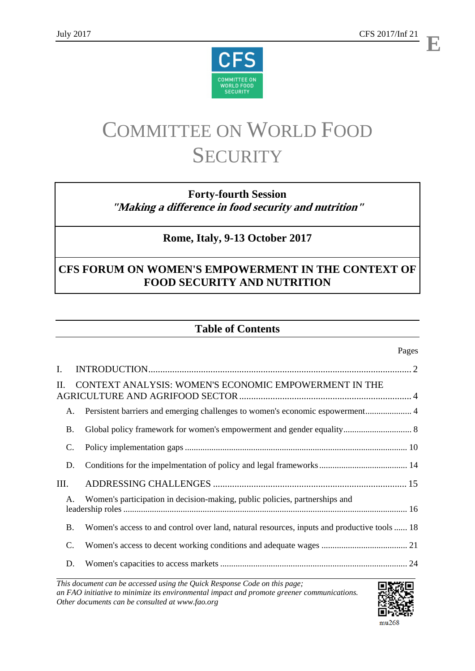**E**



# COMMITTEE ON WORLD FOOD **SECURITY**

## **Forty-fourth Session "Making a difference in food security and nutrition"**

## **Rome, Italy, 9-13 October 2017**

## **CFS FORUM ON WOMEN'S EMPOWERMENT IN THE CONTEXT OF FOOD SECURITY AND NUTRITION**

## **Table of Contents**

### Pages

| Ι.        |                                                                                             |  |
|-----------|---------------------------------------------------------------------------------------------|--|
| Н.        | CONTEXT ANALYSIS: WOMEN'S ECONOMIC EMPOWERMENT IN THE                                       |  |
| A.        | Persistent barriers and emerging challenges to women's economic espowerment 4               |  |
| <b>B.</b> |                                                                                             |  |
| C.        |                                                                                             |  |
| D.        |                                                                                             |  |
| III.      |                                                                                             |  |
| A.        | Women's participation in decision-making, public policies, partnerships and                 |  |
| <b>B.</b> | Women's access to and control over land, natural resources, inputs and productive tools  18 |  |
| C.        |                                                                                             |  |
| D.        |                                                                                             |  |

*This document can be accessed using the Quick Response Code on this page; an FAO initiative to minimize its environmental impact and promote greener communications. Other documents can be consulted at www.fao.org* 



#### mu268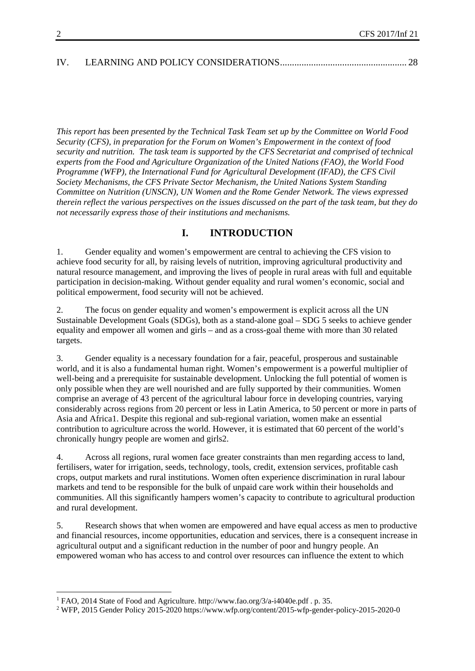| IV. |  |  |
|-----|--|--|
|     |  |  |

*This report has been presented by the Technical Task Team set up by the Committee on World Food Security (CFS), in preparation for the Forum on Women's Empowerment in the context of food security and nutrition. The task team is supported by the CFS Secretariat and comprised of technical experts from the Food and Agriculture Organization of the United Nations (FAO), the World Food Programme (WFP), the International Fund for Agricultural Development (IFAD), the CFS Civil Society Mechanisms, the CFS Private Sector Mechanism, the United Nations System Standing Committee on Nutrition (UNSCN), UN Women and the Rome Gender Network. The views expressed therein reflect the various perspectives on the issues discussed on the part of the task team, but they do not necessarily express those of their institutions and mechanisms.* 

### **I. INTRODUCTION**

1. Gender equality and women's empowerment are central to achieving the CFS vision to achieve food security for all, by raising levels of nutrition, improving agricultural productivity and natural resource management, and improving the lives of people in rural areas with full and equitable participation in decision-making. Without gender equality and rural women's economic, social and political empowerment, food security will not be achieved.

2. The focus on gender equality and women's empowerment is explicit across all the UN Sustainable Development Goals (SDGs), both as a stand-alone goal – SDG 5 seeks to achieve gender equality and empower all women and girls – and as a cross-goal theme with more than 30 related targets.

3. Gender equality is a necessary foundation for a fair, peaceful, prosperous and sustainable world, and it is also a fundamental human right. Women's empowerment is a powerful multiplier of well-being and a prerequisite for sustainable development. Unlocking the full potential of women is only possible when they are well nourished and are fully supported by their communities. Women comprise an average of 43 percent of the agricultural labour force in developing countries, varying considerably across regions from 20 percent or less in Latin America, to 50 percent or more in parts of Asia and Africa1. Despite this regional and sub-regional variation, women make an essential contribution to agriculture across the world. However, it is estimated that 60 percent of the world's chronically hungry people are women and girls2.

4. Across all regions, rural women face greater constraints than men regarding access to land, fertilisers, water for irrigation, seeds, technology, tools, credit, extension services, profitable cash crops, output markets and rural institutions. Women often experience discrimination in rural labour markets and tend to be responsible for the bulk of unpaid care work within their households and communities. All this significantly hampers women's capacity to contribute to agricultural production and rural development.

5. Research shows that when women are empowered and have equal access as men to productive and financial resources, income opportunities, education and services, there is a consequent increase in agricultural output and a significant reduction in the number of poor and hungry people. An empowered woman who has access to and control over resources can influence the extent to which

<sup>&</sup>lt;sup>1</sup> FAO, 2014 State of Food and Agriculture. http://www.fao.org/3/a-i4040e.pdf . p. 35.

<sup>&</sup>lt;sup>2</sup> WFP, 2015 Gender Policy 2015-2020 https://www.wfp.org/content/2015-wfp-gender-policy-2015-2020-0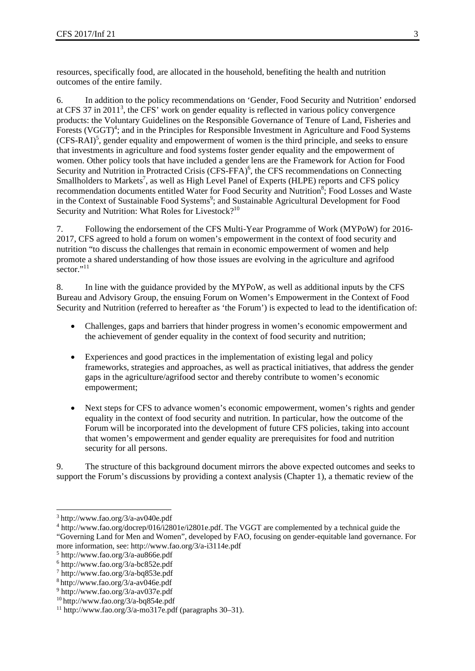resources, specifically food, are allocated in the household, benefiting the health and nutrition outcomes of the entire family.

6. In addition to the policy recommendations on 'Gender, Food Security and Nutrition' endorsed at CFS 37 in 2011<sup>3</sup>, the CFS' work on gender equality is reflected in various policy convergence products: the Voluntary Guidelines on the Responsible Governance of Tenure of Land, Fisheries and Forests (VGGT)<sup>4</sup>; and in the Principles for Responsible Investment in Agriculture and Food Systems (CFS-RAI)<sup>5</sup>, gender equality and empowerment of women is the third principle, and seeks to ensure that investments in agriculture and food systems foster gender equality and the empowerment of women. Other policy tools that have included a gender lens are the Framework for Action for Food Security and Nutrition in Protracted Crisis (CFS-FFA)<sup>6</sup>, the CFS recommendations on Connecting Smallholders to Markets<sup>7</sup>, as well as High Level Panel of Experts (HLPE) reports and CFS policy recommendation documents entitled Water for Food Security and Nutrition<sup>8</sup>; Food Losses and Waste in the Context of Sustainable Food Systems<sup>9</sup>; and Sustainable Agricultural Development for Food Security and Nutrition: What Roles for Livestock?<sup>10</sup>

7. Following the endorsement of the CFS Multi-Year Programme of Work (MYPoW) for 2016- 2017, CFS agreed to hold a forum on women's empowerment in the context of food security and nutrition "to discuss the challenges that remain in economic empowerment of women and help promote a shared understanding of how those issues are evolving in the agriculture and agrifood sector."<sup>11</sup>

8. In line with the guidance provided by the MYPoW, as well as additional inputs by the CFS Bureau and Advisory Group, the ensuing Forum on Women's Empowerment in the Context of Food Security and Nutrition (referred to hereafter as 'the Forum') is expected to lead to the identification of:

- Challenges, gaps and barriers that hinder progress in women's economic empowerment and the achievement of gender equality in the context of food security and nutrition;
- Experiences and good practices in the implementation of existing legal and policy frameworks, strategies and approaches, as well as practical initiatives, that address the gender gaps in the agriculture/agrifood sector and thereby contribute to women's economic empowerment;
- Next steps for CFS to advance women's economic empowerment, women's rights and gender equality in the context of food security and nutrition. In particular, how the outcome of the Forum will be incorporated into the development of future CFS policies, taking into account that women's empowerment and gender equality are prerequisites for food and nutrition security for all persons.

9. The structure of this background document mirrors the above expected outcomes and seeks to support the Forum's discussions by providing a context analysis (Chapter 1), a thematic review of the

<sup>3</sup> http://www.fao.org/3/a-av040e.pdf

<sup>4</sup> http://www.fao.org/docrep/016/i2801e/i2801e.pdf. The VGGT are complemented by a technical guide the "Governing Land for Men and Women", developed by FAO, focusing on gender-equitable land governance. For more information, see: http://www.fao.org/3/a-i3114e.pdf

<sup>5</sup> http://www.fao.org/3/a-au866e.pdf

<sup>6</sup> http://www.fao.org/3/a-bc852e.pdf

<sup>7</sup> http://www.fao.org/3/a-bq853e.pdf

<sup>8</sup> http://www.fao.org/3/a-av046e.pdf

<sup>9</sup> http://www.fao.org/3/a-av037e.pdf

<sup>&</sup>lt;sup>10</sup> http://www.fao.org/3/a-bq854e.pdf<br><sup>11</sup> http://www.fao.org/3/a-mo317e.pdf (paragraphs 30–31).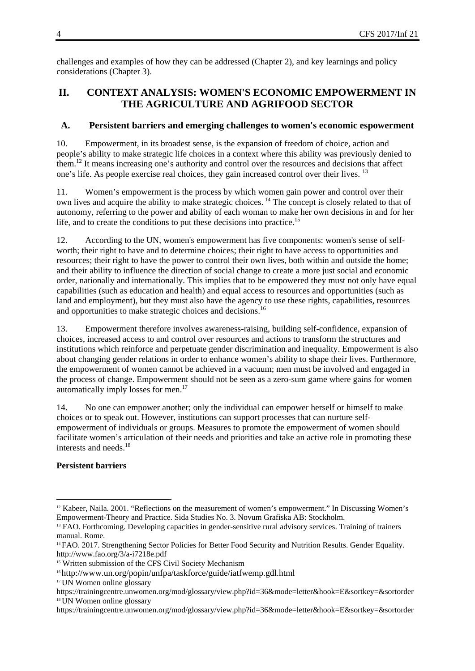challenges and examples of how they can be addressed (Chapter 2), and key learnings and policy considerations (Chapter 3).

## **II. CONTEXT ANALYSIS: WOMEN'S ECONOMIC EMPOWERMENT IN THE AGRICULTURE AND AGRIFOOD SECTOR**

#### **A. Persistent barriers and emerging challenges to women's economic espowerment**

10. Empowerment, in its broadest sense, is the expansion of freedom of choice, action and people's ability to make strategic life choices in a context where this ability was previously denied to them.12 It means increasing one's authority and control over the resources and decisions that affect one's life. As people exercise real choices, they gain increased control over their lives. <sup>13</sup>

11. Women's empowerment is the process by which women gain power and control over their own lives and acquire the ability to make strategic choices. 14 The concept is closely related to that of autonomy, referring to the power and ability of each woman to make her own decisions in and for her life, and to create the conditions to put these decisions into practice.<sup>15</sup>

12. According to the UN, women's empowerment has five components: women's sense of selfworth; their right to have and to determine choices; their right to have access to opportunities and resources; their right to have the power to control their own lives, both within and outside the home; and their ability to influence the direction of social change to create a more just social and economic order, nationally and internationally. This implies that to be empowered they must not only have equal capabilities (such as education and health) and equal access to resources and opportunities (such as land and employment), but they must also have the agency to use these rights, capabilities, resources and opportunities to make strategic choices and decisions.<sup>16</sup>

13. Empowerment therefore involves awareness-raising, building self-confidence, expansion of choices, increased access to and control over resources and actions to transform the structures and institutions which reinforce and perpetuate gender discrimination and inequality. Empowerment is also about changing gender relations in order to enhance women's ability to shape their lives. Furthermore, the empowerment of women cannot be achieved in a vacuum; men must be involved and engaged in the process of change. Empowerment should not be seen as a zero-sum game where gains for women automatically imply losses for men.17

14. No one can empower another; only the individual can empower herself or himself to make choices or to speak out. However, institutions can support processes that can nurture selfempowerment of individuals or groups. Measures to promote the empowerment of women should facilitate women's articulation of their needs and priorities and take an active role in promoting these interests and needs.<sup>18</sup>

#### **Persistent barriers**

<sup>1</sup> <sup>12</sup> Kabeer, Naila. 2001. "Reflections on the measurement of women's empowerment." In Discussing Women's Empowerment-Theory and Practice. Sida Studies No. 3. Novum Grafiska AB: Stockholm.

<sup>13</sup> FAO. Forthcoming. Developing capacities in gender-sensitive rural advisory services. Training of trainers manual. Rome.

<sup>&</sup>lt;sup>14</sup> FAO. 2017. Strengthening Sector Policies for Better Food Security and Nutrition Results. Gender Equality. http://www.fao.org/3/a-i7218e.pdf

<sup>&</sup>lt;sup>15</sup> Written submission of the CFS Civil Society Mechanism

<sup>16</sup> http://www.un.org/popin/unfpa/taskforce/guide/iatfwemp.gdl.html

<sup>17</sup> UN Women online glossary

https://trainingcentre.unwomen.org/mod/glossary/view.php?id=36&mode=letter&hook=E&sortkey=&sortorder <sup>18</sup> UN Women online glossary

https://trainingcentre.unwomen.org/mod/glossary/view.php?id=36&mode=letter&hook=E&sortkey=&sortorder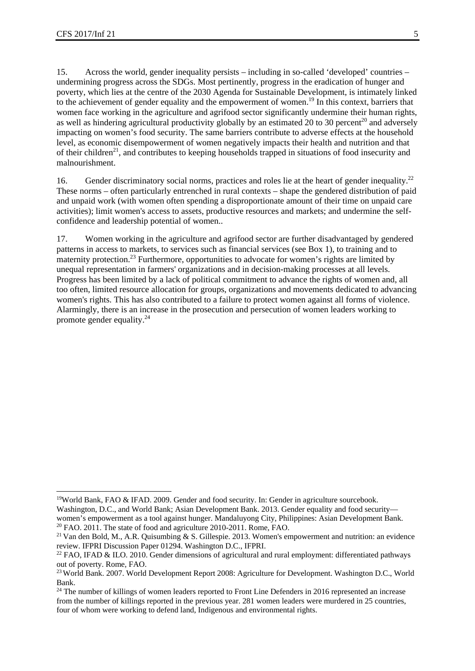15. Across the world, gender inequality persists – including in so-called 'developed' countries – undermining progress across the SDGs. Most pertinently, progress in the eradication of hunger and poverty, which lies at the centre of the 2030 Agenda for Sustainable Development, is intimately linked to the achievement of gender equality and the empowerment of women.<sup>19</sup> In this context, barriers that women face working in the agriculture and agrifood sector significantly undermine their human rights, as well as hindering agricultural productivity globally by an estimated 20 to 30 percent<sup>20</sup> and adversely impacting on women's food security. The same barriers contribute to adverse effects at the household level, as economic disempowerment of women negatively impacts their health and nutrition and that of their children<sup>21</sup>, and contributes to keeping households trapped in situations of food insecurity and malnourishment.

16. Gender discriminatory social norms, practices and roles lie at the heart of gender inequality.<sup>22</sup> These norms – often particularly entrenched in rural contexts – shape the gendered distribution of paid and unpaid work (with women often spending a disproportionate amount of their time on unpaid care activities); limit women's access to assets, productive resources and markets; and undermine the selfconfidence and leadership potential of women..

17. Women working in the agriculture and agrifood sector are further disadvantaged by gendered patterns in access to markets, to services such as financial services (see Box 1), to training and to maternity protection.<sup>23</sup> Furthermore, opportunities to advocate for women's rights are limited by unequal representation in farmers' organizations and in decision-making processes at all levels. Progress has been limited by a lack of political commitment to advance the rights of women and, all too often, limited resource allocation for groups, organizations and movements dedicated to advancing women's rights. This has also contributed to a failure to protect women against all forms of violence. Alarmingly, there is an increase in the prosecution and persecution of women leaders working to promote gender equality.24

<sup>-</sup><sup>19</sup>World Bank, FAO & IFAD. 2009. Gender and food security. In: Gender in agriculture sourcebook.

Washington, D.C., and World Bank; Asian Development Bank. 2013. Gender equality and food security women's empowerment as a tool against hunger. Mandaluyong City, Philippines: Asian Development Bank. <sup>20</sup> FAO. 2011. The state of food and agriculture 2010-2011. Rome, FAO.

<sup>21</sup> Van den Bold, M., A.R. Quisumbing & S. Gillespie. 2013. Women's empowerment and nutrition: an evidence review. IFPRI Discussion Paper 01294. Washington D.C., IFPRI.

<sup>&</sup>lt;sup>22</sup> FAO, IFAD & ILO. 2010. Gender dimensions of agricultural and rural employment: differentiated pathways out of poverty. Rome, FAO.

<sup>23</sup> World Bank. 2007. World Development Report 2008: Agriculture for Development. Washington D.C., World Bank.

<sup>&</sup>lt;sup>24</sup> The number of killings of women leaders reported to Front Line Defenders in 2016 represented an increase from the number of killings reported in the previous year. 281 women leaders were murdered in 25 countries, four of whom were working to defend land, Indigenous and environmental rights.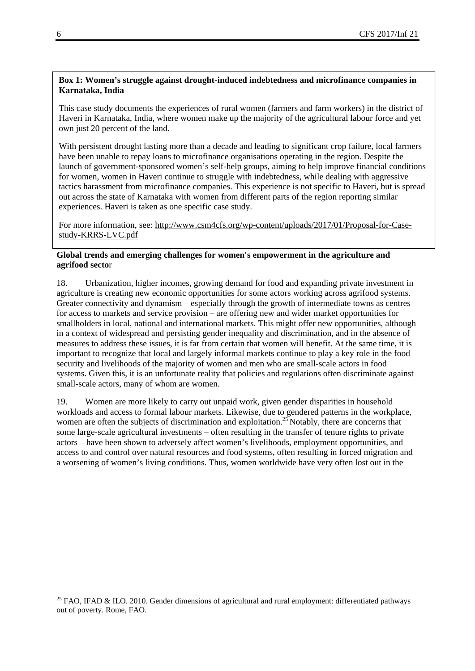#### **Box 1: Women's struggle against drought-induced indebtedness and microfinance companies in Karnataka, India**

This case study documents the experiences of rural women (farmers and farm workers) in the district of Haveri in Karnataka, India, where women make up the majority of the agricultural labour force and yet own just 20 percent of the land.

With persistent drought lasting more than a decade and leading to significant crop failure, local farmers have been unable to repay loans to microfinance organisations operating in the region. Despite the launch of government-sponsored women's self-help groups, aiming to help improve financial conditions for women, women in Haveri continue to struggle with indebtedness, while dealing with aggressive tactics harassment from microfinance companies. This experience is not specific to Haveri, but is spread out across the state of Karnataka with women from different parts of the region reporting similar experiences. Haveri is taken as one specific case study.

For more information, see: http://www.csm4cfs.org/wp-content/uploads/2017/01/Proposal-for-Casestudy-KRRS-LVC.pdf

#### **Global trends and emerging challenges for women's empowerment in the agriculture and agrifood secto**r

18. Urbanization, higher incomes, growing demand for food and expanding private investment in agriculture is creating new economic opportunities for some actors working across agrifood systems. Greater connectivity and dynamism – especially through the growth of intermediate towns as centres for access to markets and service provision – are offering new and wider market opportunities for smallholders in local, national and international markets. This might offer new opportunities, although in a context of widespread and persisting gender inequality and discrimination, and in the absence of measures to address these issues, it is far from certain that women will benefit. At the same time, it is important to recognize that local and largely informal markets continue to play a key role in the food security and livelihoods of the majority of women and men who are small-scale actors in food systems. Given this, it is an unfortunate reality that policies and regulations often discriminate against small-scale actors, many of whom are women.

19. Women are more likely to carry out unpaid work, given gender disparities in household workloads and access to formal labour markets. Likewise, due to gendered patterns in the workplace, women are often the subjects of discrimination and exploitation.<sup>25</sup> Notably, there are concerns that some large-scale agricultural investments – often resulting in the transfer of tenure rights to private actors – have been shown to adversely affect women's livelihoods, employment opportunities, and access to and control over natural resources and food systems, often resulting in forced migration and a worsening of women's living conditions. Thus, women worldwide have very often lost out in the

<sup>&</sup>lt;sup>25</sup> FAO, IFAD & ILO. 2010. Gender dimensions of agricultural and rural employment: differentiated pathways out of poverty. Rome, FAO.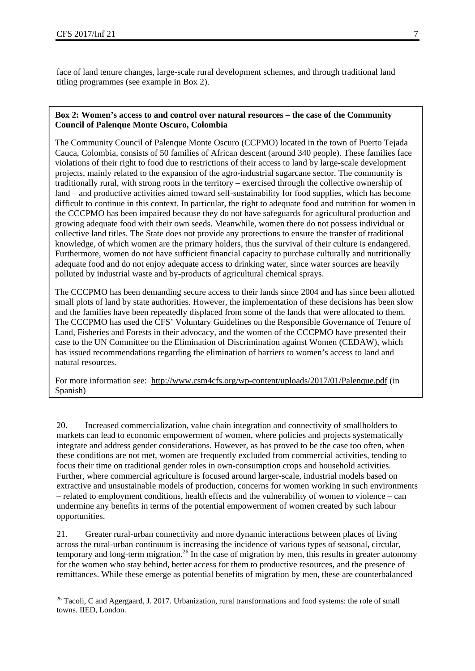1

face of land tenure changes, large-scale rural development schemes, and through traditional land titling programmes (see example in Box 2).

#### **Box 2: Women's access to and control over natural resources – the case of the Community Council of Palenque Monte Oscuro, Colombia**

The Community Council of Palenque Monte Oscuro (CCPMO) located in the town of Puerto Tejada Cauca, Colombia, consists of 50 families of African descent (around 340 people). These families face violations of their right to food due to restrictions of their access to land by large-scale development projects, mainly related to the expansion of the agro-industrial sugarcane sector. The community is traditionally rural, with strong roots in the territory – exercised through the collective ownership of land – and productive activities aimed toward self-sustainability for food supplies, which has become difficult to continue in this context. In particular, the right to adequate food and nutrition for women in the CCCPMO has been impaired because they do not have safeguards for agricultural production and growing adequate food with their own seeds. Meanwhile, women there do not possess individual or collective land titles. The State does not provide any protections to ensure the transfer of traditional knowledge, of which women are the primary holders, thus the survival of their culture is endangered. Furthermore, women do not have sufficient financial capacity to purchase culturally and nutritionally adequate food and do not enjoy adequate access to drinking water, since water sources are heavily polluted by industrial waste and by-products of agricultural chemical sprays.

The CCCPMO has been demanding secure access to their lands since 2004 and has since been allotted small plots of land by state authorities. However, the implementation of these decisions has been slow and the families have been repeatedly displaced from some of the lands that were allocated to them. The CCCPMO has used the CFS' Voluntary Guidelines on the Responsible Governance of Tenure of Land, Fisheries and Forests in their advocacy, and the women of the CCCPMO have presented their case to the UN Committee on the Elimination of Discrimination against Women (CEDAW), which has issued recommendations regarding the elimination of barriers to women's access to land and natural resources.

For more information see: http://www.csm4cfs.org/wp-content/uploads/2017/01/Palenque.pdf (in Spanish)

20. Increased commercialization, value chain integration and connectivity of smallholders to markets can lead to economic empowerment of women, where policies and projects systematically integrate and address gender considerations. However, as has proved to be the case too often, when these conditions are not met, women are frequently excluded from commercial activities, tending to focus their time on traditional gender roles in own-consumption crops and household activities. Further, where commercial agriculture is focused around larger-scale, industrial models based on extractive and unsustainable models of production, concerns for women working in such environments – related to employment conditions, health effects and the vulnerability of women to violence – can undermine any benefits in terms of the potential empowerment of women created by such labour opportunities.

21. Greater rural-urban connectivity and more dynamic interactions between places of living across the rural-urban continuum is increasing the incidence of various types of seasonal, circular, temporary and long-term migration.26 In the case of migration by men, this results in greater autonomy for the women who stay behind, better access for them to productive resources, and the presence of remittances. While these emerge as potential benefits of migration by men, these are counterbalanced

<sup>&</sup>lt;sup>26</sup> Tacoli, C and Agergaard, J. 2017. Urbanization, rural transformations and food systems: the role of small towns. IIED, London.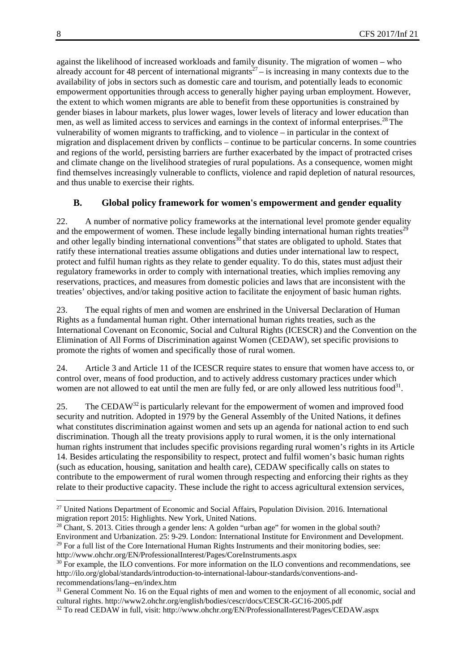against the likelihood of increased workloads and family disunity. The migration of women – who already account for 48 percent of international migrants<sup> $27$ </sup> – is increasing in many contexts due to the availability of jobs in sectors such as domestic care and tourism, and potentially leads to economic empowerment opportunities through access to generally higher paying urban employment. However, the extent to which women migrants are able to benefit from these opportunities is constrained by gender biases in labour markets, plus lower wages, lower levels of literacy and lower education than men, as well as limited access to services and earnings in the context of informal enterprises.<sup>28</sup> The vulnerability of women migrants to trafficking, and to violence – in particular in the context of migration and displacement driven by conflicts – continue to be particular concerns. In some countries and regions of the world, persisting barriers are further exacerbated by the impact of protracted crises and climate change on the livelihood strategies of rural populations. As a consequence, women might find themselves increasingly vulnerable to conflicts, violence and rapid depletion of natural resources, and thus unable to exercise their rights.

#### **B. Global policy framework for women's empowerment and gender equality**

22. A number of normative policy frameworks at the international level promote gender equality and the empowerment of women. These include legally binding international human rights treaties<sup> $29$ </sup> and other legally binding international conventions<sup>30</sup> that states are obligated to uphold. States that ratify these international treaties assume obligations and duties under international law to respect, protect and fulfil human rights as they relate to gender equality. To do this, states must adjust their regulatory frameworks in order to comply with international treaties, which implies removing any reservations, practices, and measures from domestic policies and laws that are inconsistent with the treaties' objectives, and/or taking positive action to facilitate the enjoyment of basic human rights.

23. The equal rights of men and women are enshrined in the Universal Declaration of Human Rights as a fundamental human right. Other international human rights treaties, such as the International Covenant on Economic, Social and Cultural Rights (ICESCR) and the Convention on the Elimination of All Forms of Discrimination against Women (CEDAW), set specific provisions to promote the rights of women and specifically those of rural women.

24. Article 3 and Article 11 of the ICESCR require states to ensure that women have access to, or control over, means of food production, and to actively address customary practices under which women are not allowed to eat until the men are fully fed, or are only allowed less nutritious food<sup>31</sup>.

25. The CEDAW<sup>32</sup> is particularly relevant for the empowerment of women and improved food security and nutrition. Adopted in 1979 by the General Assembly of the United Nations, it defines what constitutes discrimination against women and sets up an agenda for national action to end such discrimination. Though all the treaty provisions apply to rural women, it is the only international human rights instrument that includes specific provisions regarding rural women's rights in its Article 14. Besides articulating the responsibility to respect, protect and fulfil women's basic human rights (such as education, housing, sanitation and health care), CEDAW specifically calls on states to contribute to the empowerment of rural women through respecting and enforcing their rights as they relate to their productive capacity. These include the right to access agricultural extension services,

<sup>&</sup>lt;sup>27</sup> United Nations Department of Economic and Social Affairs, Population Division. 2016. International migration report 2015: Highlights. New York, United Nations.

<sup>&</sup>lt;sup>28</sup> Chant, S. 2013. Cities through a gender lens: A golden "urban age" for women in the global south? Environment and Urbanization. 25: 9-29. London: International Institute for Environment and Development.  $^{29}$  For a full list of the Core International Human Rights Instruments and their monitoring bodies, see: http://www.ohchr.org/EN/ProfessionalInterest/Pages/CoreInstruments.aspx<br><sup>30</sup> For example, the ILO conventions. For more information on the ILO conventions and recommendations, see

http://ilo.org/global/standards/introduction-to-international-labour-standards/conventions-andrecommendations/lang--en/index.htm

<sup>&</sup>lt;sup>31</sup> General Comment No. 16 on the Equal rights of men and women to the enjoyment of all economic, social and cultural rights. http://www2.ohchr.org/english/bodies/cescr/docs/CESCR-GC16-2005.pdf 32 To read CEDAW in full, visit: http://www.ohchr.org/EN/ProfessionalInterest/Pages/CEDAW.aspx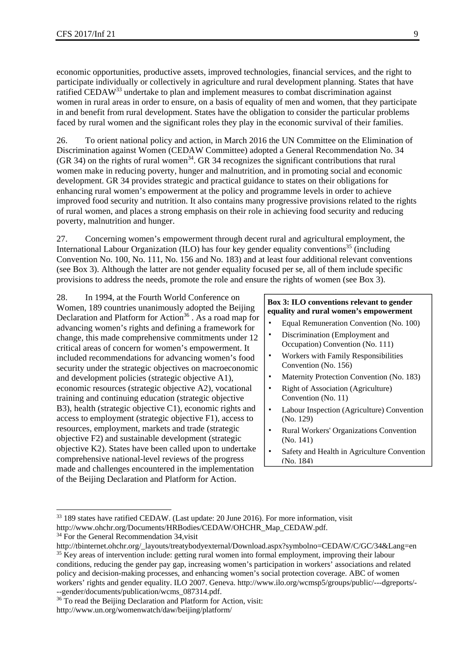economic opportunities, productive assets, improved technologies, financial services, and the right to participate individually or collectively in agriculture and rural development planning. States that have ratified CEDAW33 undertake to plan and implement measures to combat discrimination against women in rural areas in order to ensure, on a basis of equality of men and women, that they participate in and benefit from rural development. States have the obligation to consider the particular problems faced by rural women and the significant roles they play in the economic survival of their families.

26. To orient national policy and action, in March 2016 the UN Committee on the Elimination of Discrimination against Women (CEDAW Committee) adopted a General Recommendation No. 34 (GR 34) on the rights of rural women<sup>34</sup>. GR 34 recognizes the significant contributions that rural women make in reducing poverty, hunger and malnutrition, and in promoting social and economic development. GR 34 provides strategic and practical guidance to states on their obligations for enhancing rural women's empowerment at the policy and programme levels in order to achieve improved food security and nutrition. It also contains many progressive provisions related to the rights of rural women, and places a strong emphasis on their role in achieving food security and reducing poverty, malnutrition and hunger.

27. Concerning women's empowerment through decent rural and agricultural employment, the International Labour Organization (ILO) has four key gender equality conventions<sup>35</sup> (including Convention No. 100, No. 111, No. 156 and No. 183) and at least four additional relevant conventions (see Box 3). Although the latter are not gender equality focused per se, all of them include specific provisions to address the needs, promote the role and ensure the rights of women (see Box 3).

28. In 1994, at the Fourth World Conference on Women, 189 countries unanimously adopted the Beijing Declaration and Platform for Action<sup>36</sup>. As a road map for advancing women's rights and defining a framework for change, this made comprehensive commitments under 12 critical areas of concern for women's empowerment. It included recommendations for advancing women's food security under the strategic objectives on macroeconomic and development policies (strategic objective A1), economic resources (strategic objective A2), vocational training and continuing education (strategic objective B3), health (strategic objective C1), economic rights and access to employment (strategic objective F1), access to resources, employment, markets and trade (strategic objective F2) and sustainable development (strategic objective K2). States have been called upon to undertake comprehensive national-level reviews of the progress made and challenges encountered in the implementation of the Beijing Declaration and Platform for Action.

#### **Box 3: ILO conventions relevant to gender equality and rural women's empowerment**

- Equal Remuneration Convention (No. 100)
- Discrimination (Employment and Occupation) Convention (No. 111)
- Workers with Family Responsibilities Convention (No. 156)
- Maternity Protection Convention (No. 183)
- **Right of Association (Agriculture)** Convention (No. 11)
- Labour Inspection (Agriculture) Convention (No. 129)
- Rural Workers' Organizations Convention (No. 141)
- Safety and Health in Agriculture Convention (No. 184)

<sup>&</sup>lt;sup>33</sup> 189 states have ratified CEDAW. (Last update: 20 June 2016). For more information, visit

http://www.ohchr.org/Documents/HRBodies/CEDAW/OHCHR\_Map\_CEDAW.pdf. 34 For the General Recommendation 34,visit

http://tbinternet.ohchr.org/\_layouts/treatybodyexternal/Download.aspx?symbolno=CEDAW/C/GC/34&Lang=en <sup>35</sup> Key areas of intervention include: getting rural women into formal employment, improving their labour conditions, reducing the gender pay gap, increasing women's participation in workers' associations and related policy and decision-making processes, and enhancing women's social protection coverage. ABC of women workers' rights and gender equality. ILO 2007. Geneva. http://www.ilo.org/wcmsp5/groups/public/---dgreports/- --gender/documents/publication/wcms\_087314.pdf.

<sup>&</sup>lt;sup>36</sup> To read the Beijing Declaration and Platform for Action, visit: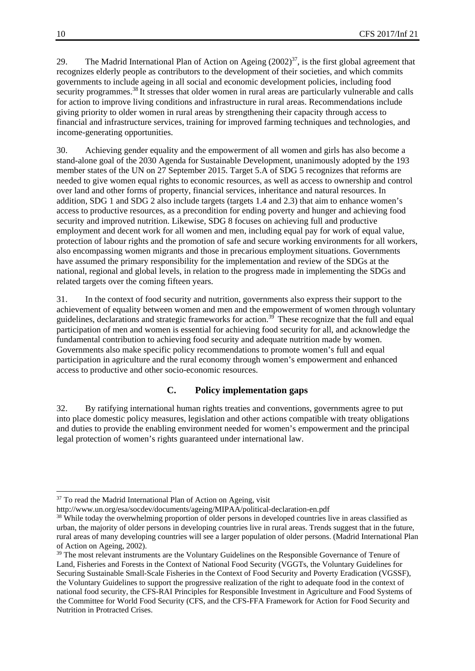29. The Madrid International Plan of Action on Ageing  $(2002)^{37}$ , is the first global agreement that recognizes elderly people as contributors to the development of their societies, and which commits governments to include ageing in all social and economic development policies, including food security programmes.<sup>38</sup> It stresses that older women in rural areas are particularly vulnerable and calls for action to improve living conditions and infrastructure in rural areas. Recommendations include giving priority to older women in rural areas by strengthening their capacity through access to financial and infrastructure services, training for improved farming techniques and technologies, and income-generating opportunities.

30. Achieving gender equality and the empowerment of all women and girls has also become a stand-alone goal of the 2030 Agenda for Sustainable Development, unanimously adopted by the 193 member states of the UN on 27 September 2015. Target 5.A of SDG 5 recognizes that reforms are needed to give women equal rights to economic resources, as well as access to ownership and control over land and other forms of property, financial services, inheritance and natural resources. In addition, SDG 1 and SDG 2 also include targets (targets 1.4 and 2.3) that aim to enhance women's access to productive resources, as a precondition for ending poverty and hunger and achieving food security and improved nutrition. Likewise, SDG 8 focuses on achieving full and productive employment and decent work for all women and men, including equal pay for work of equal value, protection of labour rights and the promotion of safe and secure working environments for all workers, also encompassing women migrants and those in precarious employment situations. Governments have assumed the primary responsibility for the implementation and review of the SDGs at the national, regional and global levels, in relation to the progress made in implementing the SDGs and related targets over the coming fifteen years.

31. In the context of food security and nutrition, governments also express their support to the achievement of equality between women and men and the empowerment of women through voluntary guidelines, declarations and strategic frameworks for action.39 These recognize that the full and equal participation of men and women is essential for achieving food security for all, and acknowledge the fundamental contribution to achieving food security and adequate nutrition made by women. Governments also make specific policy recommendations to promote women's full and equal participation in agriculture and the rural economy through women's empowerment and enhanced access to productive and other socio-economic resources.

#### **C. Policy implementation gaps**

32. By ratifying international human rights treaties and conventions, governments agree to put into place domestic policy measures, legislation and other actions compatible with treaty obligations and duties to provide the enabling environment needed for women's empowerment and the principal legal protection of women's rights guaranteed under international law.

-

<sup>&</sup>lt;sup>37</sup> To read the Madrid International Plan of Action on Ageing, visit

http://www.un.org/esa/socdev/documents/ageing/MIPAA/political-declaration-en.pdf<br><sup>38</sup> While today the overwhelming proportion of older persons in developed countries live in areas classified as urban, the majority of older persons in developing countries live in rural areas. Trends suggest that in the future, rural areas of many developing countries will see a larger population of older persons. (Madrid International Plan of Action on Ageing, 2002).

<sup>&</sup>lt;sup>39</sup> The most relevant instruments are the Voluntary Guidelines on the Responsible Governance of Tenure of Land, Fisheries and Forests in the Context of National Food Security (VGGTs, the Voluntary Guidelines for Securing Sustainable Small-Scale Fisheries in the Context of Food Security and Poverty Eradication (VGSSF), the Voluntary Guidelines to support the progressive realization of the right to adequate food in the context of national food security, the CFS-RAI Principles for Responsible Investment in Agriculture and Food Systems of the Committee for World Food Security (CFS, and the CFS-FFA Framework for Action for Food Security and Nutrition in Protracted Crises.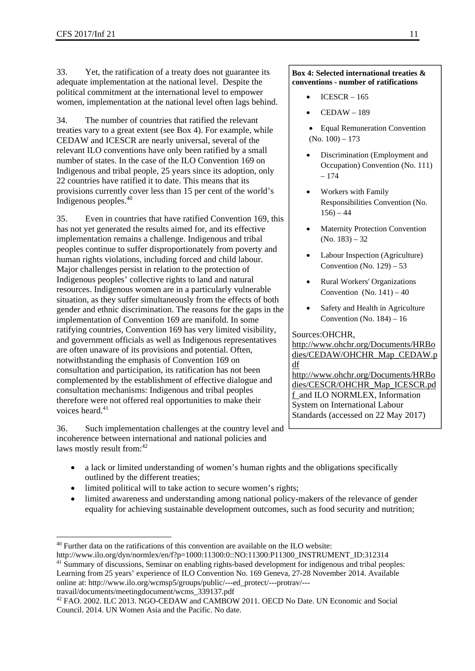33. Yet, the ratification of a treaty does not guarantee its adequate implementation at the national level. Despite the political commitment at the international level to empower women, implementation at the national level often lags behind.

34. The number of countries that ratified the relevant treaties vary to a great extent (see Box 4). For example, while CEDAW and ICESCR are nearly universal, several of the relevant ILO conventions have only been ratified by a small number of states. In the case of the ILO Convention 169 on Indigenous and tribal people, 25 years since its adoption, only 22 countries have ratified it to date. This means that its provisions currently cover less than 15 per cent of the world's Indigenous peoples.<sup>40</sup>

35. Even in countries that have ratified Convention 169, this has not yet generated the results aimed for, and its effective implementation remains a challenge. Indigenous and tribal peoples continue to suffer disproportionately from poverty and human rights violations, including forced and child labour. Major challenges persist in relation to the protection of Indigenous peoples' collective rights to land and natural resources. Indigenous women are in a particularly vulnerable situation, as they suffer simultaneously from the effects of both gender and ethnic discrimination. The reasons for the gaps in the implementation of Convention 169 are manifold. In some ratifying countries, Convention 169 has very limited visibility, and government officials as well as Indigenous representatives are often unaware of its provisions and potential. Often, notwithstanding the emphasis of Convention 169 on consultation and participation, its ratification has not been complemented by the establishment of effective dialogue and consultation mechanisms: Indigenous and tribal peoples therefore were not offered real opportunities to make their voices heard <sup>41</sup>

36. Such implementation challenges at the country level and incoherence between international and national policies and laws mostly result from:<sup>42</sup>

#### **Box 4: Selected international treaties & conventions - number of ratifications**

- $ICESCR 165$
- CEDAW 189
- Equal Remuneration Convention  $(No. 100) - 173$
- Discrimination (Employment and Occupation) Convention (No. 111) – 174
- Workers with Family Responsibilities Convention (No.  $156 - 44$
- Maternity Protection Convention (No. 183) – 32
- Labour Inspection (Agriculture) Convention (No.  $129$ ) – 53
- Rural Workers' Organizations Convention (No.  $141$ ) – 40
- Safety and Health in Agriculture Convention (No.  $184$ ) – 16

#### Sources:OHCHR,

http://www.ohchr.org/Documents/HRBo dies/CEDAW/OHCHR\_Map\_CEDAW.p df http://www.ohchr.org/Documents/HRBo dies/CESCR/OHCHR\_Map\_ICESCR.pd f and ILO NORMLEX, Information System on International Labour

Standards (accessed on 22 May 2017)

- a lack or limited understanding of women's human rights and the obligations specifically outlined by the different treaties;
- limited political will to take action to secure women's rights;
- limited awareness and understanding among national policy-makers of the relevance of gender equality for achieving sustainable development outcomes, such as food security and nutrition;

Learning from 25 years' experience of ILO Convention No. 169 Geneva, 27-28 November 2014. Available online at: http://www.ilo.org/wcmsp5/groups/public/---ed\_protect/---protrav/---

travail/documents/meetingdocument/wcms\_339137.pdf

<sup>40</sup> Further data on the ratifications of this convention are available on the ILO website: http://www.ilo.org/dyn/normlex/en/f?p=1000:11300:0::NO:11300:P11300\_INSTRUMENT\_ID:312314

<sup>41</sup> Summary of discussions, Seminar on enabling rights-based development for indigenous and tribal peoples:

<sup>42</sup> FAO. 2002. ILC 2013. NGO-CEDAW and CAMBOW 2011. OECD No Date. UN Economic and Social Council. 2014. UN Women Asia and the Pacific. No date.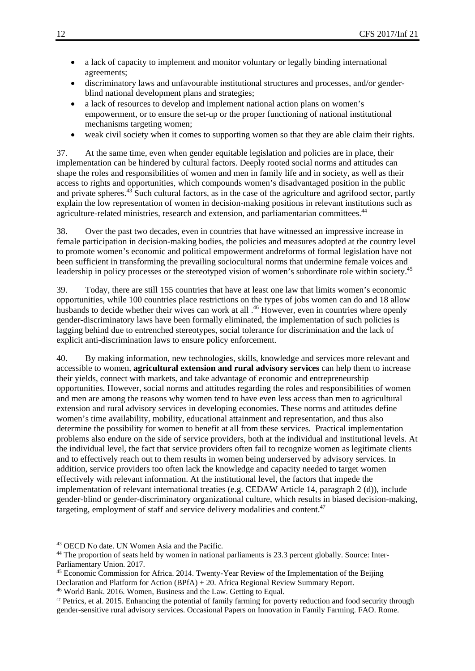- a lack of capacity to implement and monitor voluntary or legally binding international agreements;
- discriminatory laws and unfavourable institutional structures and processes, and/or genderblind national development plans and strategies;
- a lack of resources to develop and implement national action plans on women's empowerment, or to ensure the set-up or the proper functioning of national institutional mechanisms targeting women;
- weak civil society when it comes to supporting women so that they are able claim their rights.

37. At the same time, even when gender equitable legislation and policies are in place, their implementation can be hindered by cultural factors. Deeply rooted social norms and attitudes can shape the roles and responsibilities of women and men in family life and in society, as well as their access to rights and opportunities, which compounds women's disadvantaged position in the public and private spheres.<sup>43</sup> Such cultural factors, as in the case of the agriculture and agrifood sector, partly explain the low representation of women in decision-making positions in relevant institutions such as agriculture-related ministries, research and extension, and parliamentarian committees.<sup>44</sup>

38. Over the past two decades, even in countries that have witnessed an impressive increase in female participation in decision-making bodies, the policies and measures adopted at the country level to promote women's economic and political empowerment andreforms of formal legislation have not been sufficient in transforming the prevailing sociocultural norms that undermine female voices and leadership in policy processes or the stereotyped vision of women's subordinate role within society.<sup>45</sup>

39. Today, there are still 155 countries that have at least one law that limits women's economic opportunities, while 100 countries place restrictions on the types of jobs women can do and 18 allow husbands to decide whether their wives can work at all  $^{46}$  However, even in countries where openly gender-discriminatory laws have been formally eliminated, the implementation of such policies is lagging behind due to entrenched stereotypes, social tolerance for discrimination and the lack of explicit anti-discrimination laws to ensure policy enforcement.

40. By making information, new technologies, skills, knowledge and services more relevant and accessible to women, **agricultural extension and rural advisory services** can help them to increase their yields, connect with markets, and take advantage of economic and entrepreneurship opportunities. However, social norms and attitudes regarding the roles and responsibilities of women and men are among the reasons why women tend to have even less access than men to agricultural extension and rural advisory services in developing economies. These norms and attitudes define women's time availability, mobility, educational attainment and representation, and thus also determine the possibility for women to benefit at all from these services. Practical implementation problems also endure on the side of service providers, both at the individual and institutional levels. At the individual level, the fact that service providers often fail to recognize women as legitimate clients and to effectively reach out to them results in women being underserved by advisory services. In addition, service providers too often lack the knowledge and capacity needed to target women effectively with relevant information. At the institutional level, the factors that impede the implementation of relevant international treaties (e.g. CEDAW Article 14, paragraph 2 (d)), include gender-blind or gender-discriminatory organizational culture, which results in biased decision-making, targeting, employment of staff and service delivery modalities and content.47

<sup>43</sup> OECD No date. UN Women Asia and the Pacific.

<sup>44</sup> The proportion of seats held by women in national parliaments is 23.3 percent globally. Source: Inter-Parliamentary Union. 2017.

<sup>45</sup> Economic Commission for Africa. 2014. Twenty-Year Review of the Implementation of the Beijing Declaration and Platform for Action (BPfA) + 20. Africa Regional Review Summary Report. 46 World Bank. 2016. Women, Business and the Law. Getting to Equal.

<sup>47</sup> Petrics, et al. 2015. Enhancing the potential of family farming for poverty reduction and food security through gender-sensitive rural advisory services. Occasional Papers on Innovation in Family Farming. FAO. Rome.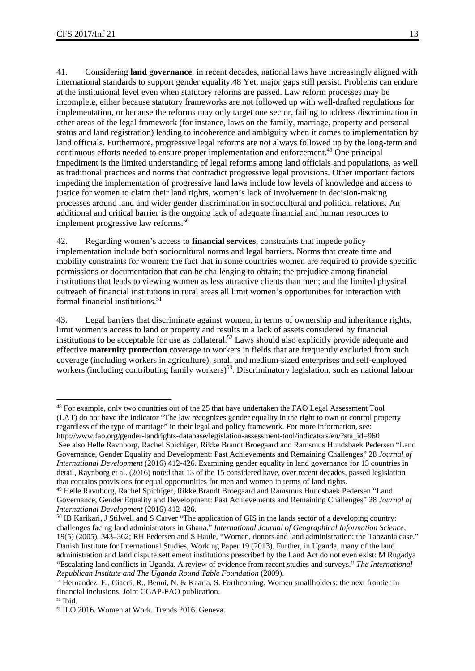41. Considering **land governance**, in recent decades, national laws have increasingly aligned with international standards to support gender equality.48 Yet, major gaps still persist. Problems can endure at the institutional level even when statutory reforms are passed. Law reform processes may be incomplete, either because statutory frameworks are not followed up with well-drafted regulations for implementation, or because the reforms may only target one sector, failing to address discrimination in other areas of the legal framework (for instance, laws on the family, marriage, property and personal status and land registration) leading to incoherence and ambiguity when it comes to implementation by land officials. Furthermore, progressive legal reforms are not always followed up by the long-term and continuous efforts needed to ensure proper implementation and enforcement.<sup>49</sup> One principal impediment is the limited understanding of legal reforms among land officials and populations, as well as traditional practices and norms that contradict progressive legal provisions. Other important factors impeding the implementation of progressive land laws include low levels of knowledge and access to justice for women to claim their land rights, women's lack of involvement in decision-making processes around land and wider gender discrimination in sociocultural and political relations. An additional and critical barrier is the ongoing lack of adequate financial and human resources to implement progressive law reforms.<sup>50</sup>

42. Regarding women's access to **financial services**, constraints that impede policy implementation include both sociocultural norms and legal barriers. Norms that create time and mobility constraints for women; the fact that in some countries women are required to provide specific permissions or documentation that can be challenging to obtain; the prejudice among financial institutions that leads to viewing women as less attractive clients than men; and the limited physical outreach of financial institutions in rural areas all limit women's opportunities for interaction with formal financial institutions.<sup>51</sup>

43. Legal barriers that discriminate against women, in terms of ownership and inheritance rights, limit women's access to land or property and results in a lack of assets considered by financial institutions to be acceptable for use as collateral.<sup>52</sup> Laws should also explicitly provide adequate and effective **maternity protection** coverage to workers in fields that are frequently excluded from such coverage (including workers in agriculture), small and medium-sized enterprises and self-employed workers (including contributing family workers)<sup>53</sup>. Discriminatory legislation, such as national labour

<sup>1</sup> <sup>48</sup> For example, only two countries out of the 25 that have undertaken the FAO Legal Assessment Tool (LAT) do not have the indicator "The law recognizes gender equality in the right to own or control property regardless of the type of marriage" in their legal and policy framework. For more information, see: http://www.fao.org/gender-landrights-database/legislation-assessment-tool/indicators/en/?sta\_id=960

See also Helle Ravnborg, Rachel Spichiger, Rikke Brandt Broegaard and Ramsmus Hundsbaek Pedersen "Land Governance, Gender Equality and Development: Past Achievements and Remaining Challenges" 28 *Journal of International Development* (2016) 412-426. Examining gender equality in land governance for 15 countries in detail, Raynborg et al. (2016) noted that 13 of the 15 considered have, over recent decades, passed legislation that contains provisions for equal opportunities for men and women in terms of land rights.

<sup>49</sup> Helle Ravnborg, Rachel Spichiger, Rikke Brandt Broegaard and Ramsmus Hundsbaek Pedersen "Land Governance, Gender Equality and Development: Past Achievements and Remaining Challenges" 28 *Journal of International Development* (2016) 412-426.<br><sup>50</sup> IB Karikari, J Stilwell and S Carver "The application of GIS in the lands sector of a developing country:

challenges facing land administrators in Ghana." *International Journal of Geographical Information Science,* 19(5) (2005), 343–362; RH Pedersen and S Haule, "Women, donors and land administration: the Tanzania case." Danish Institute for International Studies, Working Paper 19 (2013). Further, in Uganda, many of the land administration and land dispute settlement institutions prescribed by the Land Act do not even exist: M Rugadya "Escalating land conflicts in Uganda. A review of evidence from recent studies and surveys." *The International Republican Institute and The Uganda Round Table Foundation* (2009). 51 Hernandez. E., Ciacci, R., Benni, N. & Kaaria, S. Forthcoming. Women smallholders: the next frontier in

financial inclusions. Joint CGAP-FAO publication.

 $52$  Ibid.

<sup>53</sup> ILO.2016. Women at Work. Trends 2016. Geneva.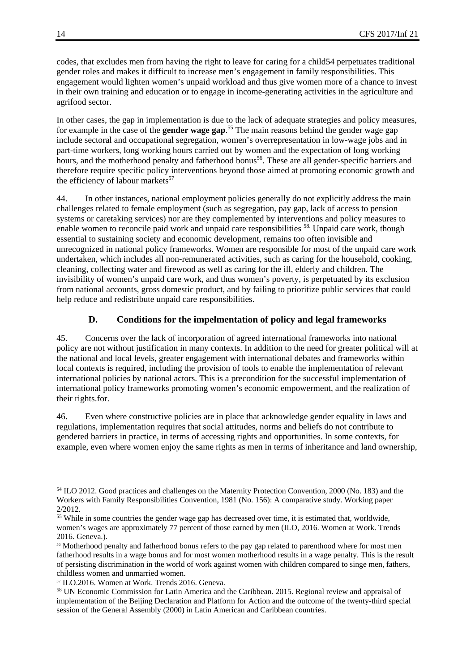codes, that excludes men from having the right to leave for caring for a child54 perpetuates traditional gender roles and makes it difficult to increase men's engagement in family responsibilities. This engagement would lighten women's unpaid workload and thus give women more of a chance to invest in their own training and education or to engage in income-generating activities in the agriculture and agrifood sector.

In other cases, the gap in implementation is due to the lack of adequate strategies and policy measures, for example in the case of the **gender wage gap**. 55 The main reasons behind the gender wage gap include sectoral and occupational segregation, women's overrepresentation in low-wage jobs and in part-time workers, long working hours carried out by women and the expectation of long working hours, and the motherhood penalty and fatherhood bonus<sup>56</sup>. These are all gender-specific barriers and therefore require specific policy interventions beyond those aimed at promoting economic growth and the efficiency of labour markets $57$ 

44. In other instances, national employment policies generally do not explicitly address the main challenges related to female employment (such as segregation, pay gap, lack of access to pension systems or caretaking services) nor are they complemented by interventions and policy measures to enable women to reconcile paid work and unpaid care responsibilities <sup>58.</sup> Unpaid care work, though essential to sustaining society and economic development, remains too often invisible and unrecognized in national policy frameworks. Women are responsible for most of the unpaid care work undertaken, which includes all non-remunerated activities, such as caring for the household, cooking, cleaning, collecting water and firewood as well as caring for the ill, elderly and children. The invisibility of women's unpaid care work, and thus women's poverty, is perpetuated by its exclusion from national accounts, gross domestic product, and by failing to prioritize public services that could help reduce and redistribute unpaid care responsibilities.

#### **D. Conditions for the impelmentation of policy and legal frameworks**

45. Concerns over the lack of incorporation of agreed international frameworks into national policy are not without justification in many contexts. In addition to the need for greater political will at the national and local levels, greater engagement with international debates and frameworks within local contexts is required, including the provision of tools to enable the implementation of relevant international policies by national actors. This is a precondition for the successful implementation of international policy frameworks promoting women's economic empowerment, and the realization of their rights.for.

46. Even where constructive policies are in place that acknowledge gender equality in laws and regulations, implementation requires that social attitudes, norms and beliefs do not contribute to gendered barriers in practice, in terms of accessing rights and opportunities. In some contexts, for example, even where women enjoy the same rights as men in terms of inheritance and land ownership,

<sup>54</sup> ILO 2012. Good practices and challenges on the Maternity Protection Convention, 2000 (No. 183) and the Workers with Family Responsibilities Convention, 1981 (No. 156): A comparative study. Working paper 2/2012.

<sup>55</sup> While in some countries the gender wage gap has decreased over time, it is estimated that, worldwide, women's wages are approximately 77 percent of those earned by men (ILO, 2016. Women at Work. Trends 2016. Geneva.).

<sup>56</sup> Motherhood penalty and fatherhood bonus refers to the pay gap related to parenthood where for most men fatherhood results in a wage bonus and for most women motherhood results in a wage penalty. This is the result of persisting discrimination in the world of work against women with children compared to singe men, fathers, childless women and unmarried women.

<sup>57</sup> ILO.2016. Women at Work. Trends 2016. Geneva.

<sup>58</sup> UN Economic Commission for Latin America and the Caribbean. 2015. Regional review and appraisal of implementation of the Beijing Declaration and Platform for Action and the outcome of the twenty-third special session of the General Assembly (2000) in Latin American and Caribbean countries.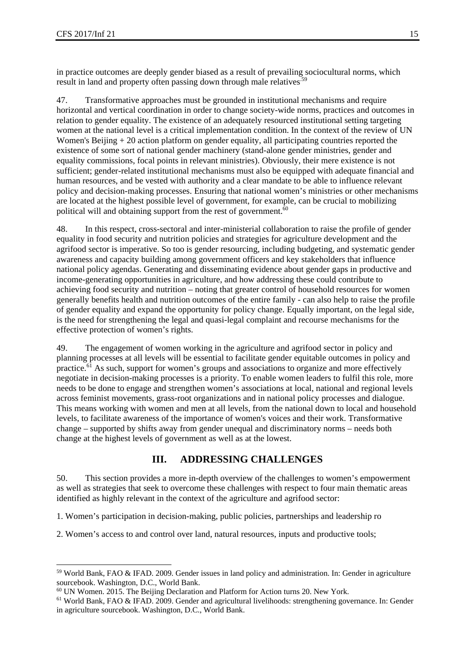1

in practice outcomes are deeply gender biased as a result of prevailing sociocultural norms, which result in land and property often passing down through male relatives.<sup>59</sup>

47. Transformative approaches must be grounded in institutional mechanisms and require horizontal and vertical coordination in order to change society-wide norms, practices and outcomes in relation to gender equality. The existence of an adequately resourced institutional setting targeting women at the national level is a critical implementation condition. In the context of the review of UN Women's Beijing  $+20$  action platform on gender equality, all participating countries reported the existence of some sort of national gender machinery (stand-alone gender ministries, gender and equality commissions, focal points in relevant ministries). Obviously, their mere existence is not sufficient; gender-related institutional mechanisms must also be equipped with adequate financial and human resources, and be vested with authority and a clear mandate to be able to influence relevant policy and decision-making processes. Ensuring that national women's ministries or other mechanisms are located at the highest possible level of government, for example, can be crucial to mobilizing political will and obtaining support from the rest of government.<sup>60</sup>

48. In this respect, cross-sectoral and inter-ministerial collaboration to raise the profile of gender equality in food security and nutrition policies and strategies for agriculture development and the agrifood sector is imperative. So too is gender resourcing, including budgeting, and systematic gender awareness and capacity building among government officers and key stakeholders that influence national policy agendas. Generating and disseminating evidence about gender gaps in productive and income-generating opportunities in agriculture, and how addressing these could contribute to achieving food security and nutrition – noting that greater control of household resources for women generally benefits health and nutrition outcomes of the entire family - can also help to raise the profile of gender equality and expand the opportunity for policy change. Equally important, on the legal side, is the need for strengthening the legal and quasi-legal complaint and recourse mechanisms for the effective protection of women's rights.

49. The engagement of women working in the agriculture and agrifood sector in policy and planning processes at all levels will be essential to facilitate gender equitable outcomes in policy and practice.<sup>61</sup> As such, support for women's groups and associations to organize and more effectively negotiate in decision-making processes is a priority. To enable women leaders to fulfil this role, more needs to be done to engage and strengthen women's associations at local, national and regional levels across feminist movements, grass-root organizations and in national policy processes and dialogue. This means working with women and men at all levels, from the national down to local and household levels, to facilitate awareness of the importance of women's voices and their work. Transformative change – supported by shifts away from gender unequal and discriminatory norms – needs both change at the highest levels of government as well as at the lowest.

### **III. ADDRESSING CHALLENGES**

50. This section provides a more in-depth overview of the challenges to women's empowerment as well as strategies that seek to overcome these challenges with respect to four main thematic areas identified as highly relevant in the context of the agriculture and agrifood sector:

1. Women's participation in decision-making, public policies, partnerships and leadership ro

2. Women's access to and control over land, natural resources, inputs and productive tools;

<sup>59</sup> World Bank, FAO & IFAD. 2009. Gender issues in land policy and administration. In: Gender in agriculture sourcebook. Washington, D.C., World Bank.

<sup>&</sup>lt;sup>60</sup> UN Women. 2015. The Beijing Declaration and Platform for Action turns 20. New York.<br><sup>61</sup> World Bank, FAO & IFAD. 2009. Gender and agricultural livelihoods: strengthening governance. In: Gender

in agriculture sourcebook. Washington, D.C., World Bank.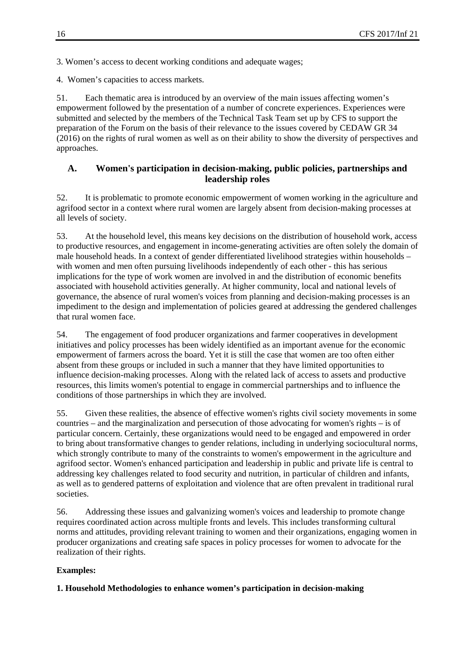3. Women's access to decent working conditions and adequate wages;

4. Women's capacities to access markets.

51. Each thematic area is introduced by an overview of the main issues affecting women's empowerment followed by the presentation of a number of concrete experiences. Experiences were submitted and selected by the members of the Technical Task Team set up by CFS to support the preparation of the Forum on the basis of their relevance to the issues covered by CEDAW GR 34 (2016) on the rights of rural women as well as on their ability to show the diversity of perspectives and approaches.

#### **A. Women's participation in decision-making, public policies, partnerships and leadership roles**

52. It is problematic to promote economic empowerment of women working in the agriculture and agrifood sector in a context where rural women are largely absent from decision-making processes at all levels of society.

53. At the household level, this means key decisions on the distribution of household work, access to productive resources, and engagement in income-generating activities are often solely the domain of male household heads. In a context of gender differentiated livelihood strategies within households – with women and men often pursuing livelihoods independently of each other - this has serious implications for the type of work women are involved in and the distribution of economic benefits associated with household activities generally. At higher community, local and national levels of governance, the absence of rural women's voices from planning and decision-making processes is an impediment to the design and implementation of policies geared at addressing the gendered challenges that rural women face.

54. The engagement of food producer organizations and farmer cooperatives in development initiatives and policy processes has been widely identified as an important avenue for the economic empowerment of farmers across the board. Yet it is still the case that women are too often either absent from these groups or included in such a manner that they have limited opportunities to influence decision-making processes. Along with the related lack of access to assets and productive resources, this limits women's potential to engage in commercial partnerships and to influence the conditions of those partnerships in which they are involved.

55. Given these realities, the absence of effective women's rights civil society movements in some countries – and the marginalization and persecution of those advocating for women's rights – is of particular concern. Certainly, these organizations would need to be engaged and empowered in order to bring about transformative changes to gender relations, including in underlying sociocultural norms, which strongly contribute to many of the constraints to women's empowerment in the agriculture and agrifood sector. Women's enhanced participation and leadership in public and private life is central to addressing key challenges related to food security and nutrition, in particular of children and infants, as well as to gendered patterns of exploitation and violence that are often prevalent in traditional rural societies.

56. Addressing these issues and galvanizing women's voices and leadership to promote change requires coordinated action across multiple fronts and levels. This includes transforming cultural norms and attitudes, providing relevant training to women and their organizations, engaging women in producer organizations and creating safe spaces in policy processes for women to advocate for the realization of their rights.

#### **Examples:**

**1. Household Methodologies to enhance women's participation in decision-making**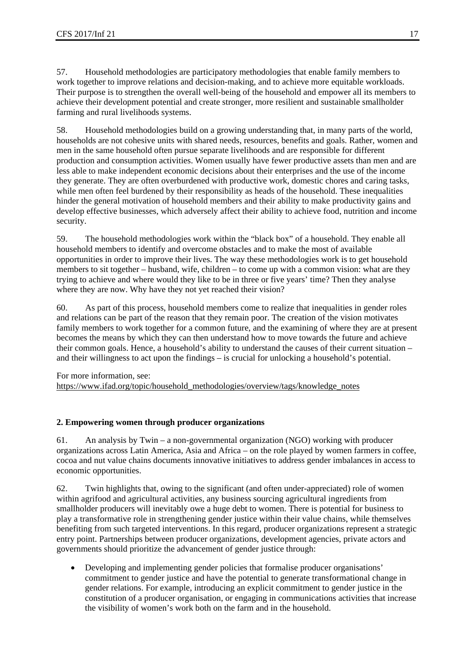57. Household methodologies are participatory methodologies that enable family members to work together to improve relations and decision-making, and to achieve more equitable workloads. Their purpose is to strengthen the overall well-being of the household and empower all its members to achieve their development potential and create stronger, more resilient and sustainable smallholder farming and rural livelihoods systems.

58. Household methodologies build on a growing understanding that, in many parts of the world, households are not cohesive units with shared needs, resources, benefits and goals. Rather, women and men in the same household often pursue separate livelihoods and are responsible for different production and consumption activities. Women usually have fewer productive assets than men and are less able to make independent economic decisions about their enterprises and the use of the income they generate. They are often overburdened with productive work, domestic chores and caring tasks, while men often feel burdened by their responsibility as heads of the household. These inequalities hinder the general motivation of household members and their ability to make productivity gains and develop effective businesses, which adversely affect their ability to achieve food, nutrition and income security.

59. The household methodologies work within the "black box" of a household. They enable all household members to identify and overcome obstacles and to make the most of available opportunities in order to improve their lives. The way these methodologies work is to get household members to sit together – husband, wife, children – to come up with a common vision: what are they trying to achieve and where would they like to be in three or five years' time? Then they analyse where they are now. Why have they not yet reached their vision?

60. As part of this process, household members come to realize that inequalities in gender roles and relations can be part of the reason that they remain poor. The creation of the vision motivates family members to work together for a common future, and the examining of where they are at present becomes the means by which they can then understand how to move towards the future and achieve their common goals. Hence, a household's ability to understand the causes of their current situation – and their willingness to act upon the findings – is crucial for unlocking a household's potential.

For more information, see:

https://www.ifad.org/topic/household\_methodologies/overview/tags/knowledge\_notes

#### **2. Empowering women through producer organizations**

61. An analysis by Twin – a non-governmental organization (NGO) working with producer organizations across Latin America, Asia and Africa – on the role played by women farmers in coffee, cocoa and nut value chains documents innovative initiatives to address gender imbalances in access to economic opportunities.

62. Twin highlights that, owing to the significant (and often under-appreciated) role of women within agrifood and agricultural activities, any business sourcing agricultural ingredients from smallholder producers will inevitably owe a huge debt to women. There is potential for business to play a transformative role in strengthening gender justice within their value chains, while themselves benefiting from such targeted interventions. In this regard, producer organizations represent a strategic entry point. Partnerships between producer organizations, development agencies, private actors and governments should prioritize the advancement of gender justice through:

 Developing and implementing gender policies that formalise producer organisations' commitment to gender justice and have the potential to generate transformational change in gender relations. For example, introducing an explicit commitment to gender justice in the constitution of a producer organisation, or engaging in communications activities that increase the visibility of women's work both on the farm and in the household.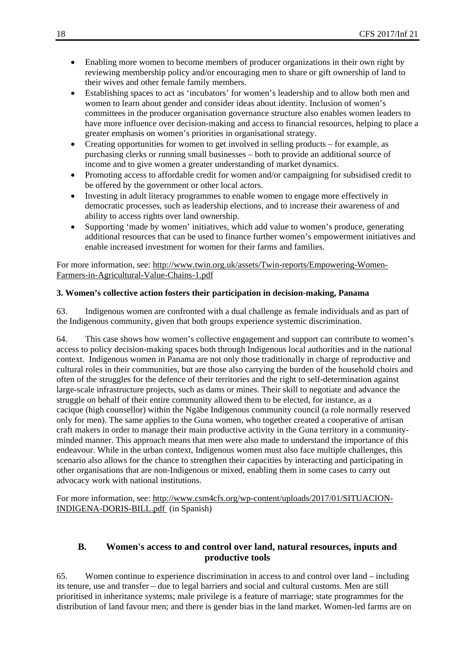- Enabling more women to become members of producer organizations in their own right by reviewing membership policy and/or encouraging men to share or gift ownership of land to their wives and other female family members.
- Establishing spaces to act as 'incubators' for women's leadership and to allow both men and women to learn about gender and consider ideas about identity. Inclusion of women's committees in the producer organisation governance structure also enables women leaders to have more influence over decision-making and access to financial resources, helping to place a greater emphasis on women's priorities in organisational strategy.
- Creating opportunities for women to get involved in selling products for example, as purchasing clerks or running small businesses – both to provide an additional source of income and to give women a greater understanding of market dynamics.
- Promoting access to affordable credit for women and/or campaigning for subsidised credit to be offered by the government or other local actors.
- Investing in adult literacy programmes to enable women to engage more effectively in democratic processes, such as leadership elections, and to increase their awareness of and ability to access rights over land ownership.
- Supporting 'made by women' initiatives, which add value to women's produce, generating additional resources that can be used to finance further women's empowerment initiatives and enable increased investment for women for their farms and families.

For more information, see: http://www.twin.org.uk/assets/Twin-reports/Empowering-Women-Farmers-in-Agricultural-Value-Chains-1.pdf

#### **3. Women's collective action fosters their participation in decision-making, Panama**

63. Indigenous women are confronted with a dual challenge as female individuals and as part of the Indigenous community, given that both groups experience systemic discrimination.

64. This case shows how women's collective engagement and support can contribute to women's access to policy decision-making spaces both through Indigenous local authorities and in the national context. Indigenous women in Panama are not only those traditionally in charge of reproductive and cultural roles in their communities, but are those also carrying the burden of the household choirs and often of the struggles for the defence of their territories and the right to self-determination against large-scale infrastructure projects, such as dams or mines. Their skill to negotiate and advance the struggle on behalf of their entire community allowed them to be elected, for instance, as a cacique (high counsellor) within the Ngäbe Indigenous community council (a role normally reserved only for men). The same applies to the Guna women, who together created a cooperative of artisan craft makers in order to manage their main productive activity in the Guna territory in a communityminded manner. This approach means that men were also made to understand the importance of this endeavour. While in the urban context, Indigenous women must also face multiple challenges, this scenario also allows for the chance to strengthen their capacities by interacting and participating in other organisations that are non-Indigenous or mixed, enabling them in some cases to carry out advocacy work with national institutions.

For more information, see: http://www.csm4cfs.org/wp-content/uploads/2017/01/SITUACION-INDIGENA-DORIS-BILL.pdf (in Spanish)

#### **B. Women's access to and control over land, natural resources, inputs and productive tools**

65. Women continue to experience discrimination in access to and control over land – including its tenure, use and transfer – due to legal barriers and social and cultural customs. Men are still prioritised in inheritance systems; male privilege is a feature of marriage; state programmes for the distribution of land favour men; and there is gender bias in the land market. Women-led farms are on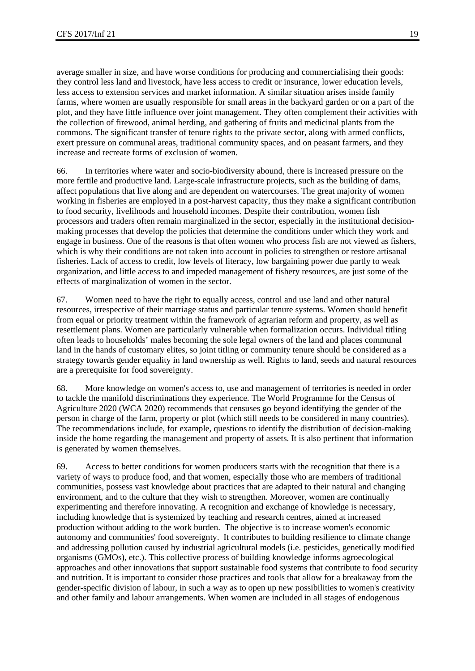average smaller in size, and have worse conditions for producing and commercialising their goods: they control less land and livestock, have less access to credit or insurance, lower education levels, less access to extension services and market information. A similar situation arises inside family farms, where women are usually responsible for small areas in the backyard garden or on a part of the plot, and they have little influence over joint management. They often complement their activities with the collection of firewood, animal herding, and gathering of fruits and medicinal plants from the commons. The significant transfer of tenure rights to the private sector, along with armed conflicts, exert pressure on communal areas, traditional community spaces, and on peasant farmers, and they increase and recreate forms of exclusion of women.

66. In territories where water and socio-biodiversity abound, there is increased pressure on the more fertile and productive land. Large-scale infrastructure projects, such as the building of dams, affect populations that live along and are dependent on watercourses. The great majority of women working in fisheries are employed in a post-harvest capacity, thus they make a significant contribution to food security, livelihoods and household incomes. Despite their contribution, women fish processors and traders often remain marginalized in the sector, especially in the institutional decisionmaking processes that develop the policies that determine the conditions under which they work and engage in business. One of the reasons is that often women who process fish are not viewed as fishers, which is why their conditions are not taken into account in policies to strengthen or restore artisanal fisheries. Lack of access to credit, low levels of literacy, low bargaining power due partly to weak organization, and little access to and impeded management of fishery resources, are just some of the effects of marginalization of women in the sector.

67. Women need to have the right to equally access, control and use land and other natural resources, irrespective of their marriage status and particular tenure systems. Women should benefit from equal or priority treatment within the framework of agrarian reform and property, as well as resettlement plans. Women are particularly vulnerable when formalization occurs. Individual titling often leads to households' males becoming the sole legal owners of the land and places communal land in the hands of customary elites, so joint titling or community tenure should be considered as a strategy towards gender equality in land ownership as well. Rights to land, seeds and natural resources are a prerequisite for food sovereignty.

68. More knowledge on women's access to, use and management of territories is needed in order to tackle the manifold discriminations they experience. The World Programme for the Census of Agriculture 2020 (WCA 2020) recommends that censuses go beyond identifying the gender of the person in charge of the farm, property or plot (which still needs to be considered in many countries). The recommendations include, for example, questions to identify the distribution of decision-making inside the home regarding the management and property of assets. It is also pertinent that information is generated by women themselves.

69. Access to better conditions for women producers starts with the recognition that there is a variety of ways to produce food, and that women, especially those who are members of traditional communities, possess vast knowledge about practices that are adapted to their natural and changing environment, and to the culture that they wish to strengthen. Moreover, women are continually experimenting and therefore innovating. A recognition and exchange of knowledge is necessary, including knowledge that is systemized by teaching and research centres, aimed at increased production without adding to the work burden. The objective is to increase women's economic autonomy and communities' food sovereignty. It contributes to building resilience to climate change and addressing pollution caused by industrial agricultural models (i.e. pesticides, genetically modified organisms (GMOs), etc.). This collective process of building knowledge informs agroecological approaches and other innovations that support sustainable food systems that contribute to food security and nutrition. It is important to consider those practices and tools that allow for a breakaway from the gender-specific division of labour, in such a way as to open up new possibilities to women's creativity and other family and labour arrangements. When women are included in all stages of endogenous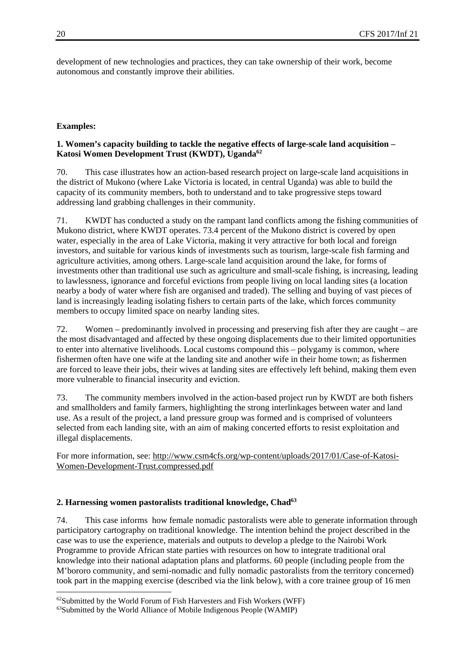development of new technologies and practices, they can take ownership of their work, become autonomous and constantly improve their abilities.

#### **Examples:**

1

#### **1. Women's capacity building to tackle the negative effects of large-scale land acquisition – Katosi Women Development Trust (KWDT), Uganda62**

70. This case illustrates how an action-based research project on large-scale land acquisitions in the district of Mukono (where Lake Victoria is located, in central Uganda) was able to build the capacity of its community members, both to understand and to take progressive steps toward addressing land grabbing challenges in their community.

71. KWDT has conducted a study on the rampant land conflicts among the fishing communities of Mukono district, where KWDT operates. 73.4 percent of the Mukono district is covered by open water, especially in the area of Lake Victoria, making it very attractive for both local and foreign investors, and suitable for various kinds of investments such as tourism, large-scale fish farming and agriculture activities, among others. Large-scale land acquisition around the lake, for forms of investments other than traditional use such as agriculture and small-scale fishing, is increasing, leading to lawlessness, ignorance and forceful evictions from people living on local landing sites (a location nearby a body of water where fish are organised and traded). The selling and buying of vast pieces of land is increasingly leading isolating fishers to certain parts of the lake, which forces community members to occupy limited space on nearby landing sites.

72. Women – predominantly involved in processing and preserving fish after they are caught – are the most disadvantaged and affected by these ongoing displacements due to their limited opportunities to enter into alternative livelihoods. Local customs compound this – polygamy is common, where fishermen often have one wife at the landing site and another wife in their home town; as fishermen are forced to leave their jobs, their wives at landing sites are effectively left behind, making them even more vulnerable to financial insecurity and eviction.

73. The community members involved in the action-based project run by KWDT are both fishers and smallholders and family farmers, highlighting the strong interlinkages between water and land use. As a result of the project, a land pressure group was formed and is comprised of volunteers selected from each landing site, with an aim of making concerted efforts to resist exploitation and illegal displacements.

For more information, see: http://www.csm4cfs.org/wp-content/uploads/2017/01/Case-of-Katosi-Women-Development-Trust.compressed.pdf

#### **2. Harnessing women pastoralists traditional knowledge, Chad63**

74. This case informs how female nomadic pastoralists were able to generate information through participatory cartography on traditional knowledge. The intention behind the project described in the case was to use the experience, materials and outputs to develop a pledge to the Nairobi Work Programme to provide African state parties with resources on how to integrate traditional oral knowledge into their national adaptation plans and platforms. 60 people (including people from the M'bororo community, and semi-nomadic and fully nomadic pastoralists from the territory concerned) took part in the mapping exercise (described via the link below), with a core trainee group of 16 men

<sup>62</sup>Submitted by the World Forum of Fish Harvesters and Fish Workers (WFF)

<sup>63</sup>Submitted by the World Alliance of Mobile Indigenous People (WAMIP)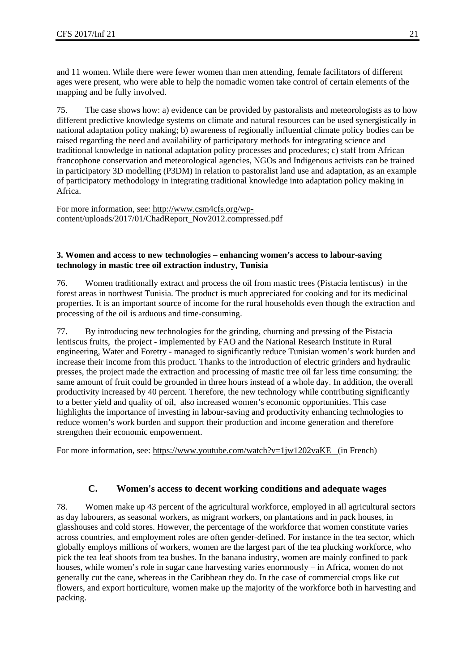and 11 women. While there were fewer women than men attending, female facilitators of different ages were present, who were able to help the nomadic women take control of certain elements of the mapping and be fully involved.

75. The case shows how: a) evidence can be provided by pastoralists and meteorologists as to how different predictive knowledge systems on climate and natural resources can be used synergistically in national adaptation policy making; b) awareness of regionally influential climate policy bodies can be raised regarding the need and availability of participatory methods for integrating science and traditional knowledge in national adaptation policy processes and procedures; c) staff from African francophone conservation and meteorological agencies, NGOs and Indigenous activists can be trained in participatory 3D modelling (P3DM) in relation to pastoralist land use and adaptation, as an example of participatory methodology in integrating traditional knowledge into adaptation policy making in Africa.

For more information, see: http://www.csm4cfs.org/wpcontent/uploads/2017/01/ChadReport\_Nov2012.compressed.pdf

#### **3. Women and access to new technologies – enhancing women's access to labour-saving technology in mastic tree oil extraction industry, Tunisia**

76. Women traditionally extract and process the oil from mastic trees (Pistacia lentiscus) in the forest areas in northwest Tunisia. The product is much appreciated for cooking and for its medicinal properties. It is an important source of income for the rural households even though the extraction and processing of the oil is arduous and time-consuming.

77. By introducing new technologies for the grinding, churning and pressing of the Pistacia lentiscus fruits, the project - implemented by FAO and the National Research Institute in Rural engineering, Water and Foretry - managed to significantly reduce Tunisian women's work burden and increase their income from this product. Thanks to the introduction of electric grinders and hydraulic presses, the project made the extraction and processing of mastic tree oil far less time consuming: the same amount of fruit could be grounded in three hours instead of a whole day. In addition, the overall productivity increased by 40 percent. Therefore, the new technology while contributing significantly to a better yield and quality of oil, also increased women's economic opportunities. This case highlights the importance of investing in labour-saving and productivity enhancing technologies to reduce women's work burden and support their production and income generation and therefore strengthen their economic empowerment.

For more information, see: https://www.youtube.com/watch?v=1jw1202vaKE (in French)

### **C. Women's access to decent working conditions and adequate wages**

78. Women make up 43 percent of the agricultural workforce, employed in all agricultural sectors as day labourers, as seasonal workers, as migrant workers, on plantations and in pack houses, in glasshouses and cold stores. However, the percentage of the workforce that women constitute varies across countries, and employment roles are often gender-defined. For instance in the tea sector, which globally employs millions of workers, women are the largest part of the tea plucking workforce, who pick the tea leaf shoots from tea bushes. In the banana industry, women are mainly confined to pack houses, while women's role in sugar cane harvesting varies enormously – in Africa, women do not generally cut the cane, whereas in the Caribbean they do. In the case of commercial crops like cut flowers, and export horticulture, women make up the majority of the workforce both in harvesting and packing.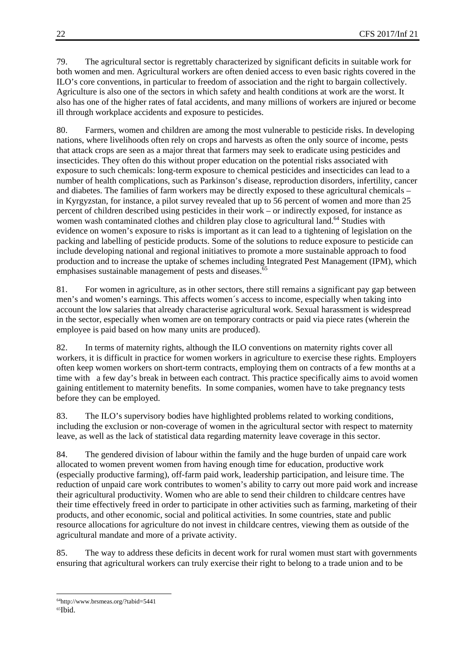79. The agricultural sector is regrettably characterized by significant deficits in suitable work for both women and men. Agricultural workers are often denied access to even basic rights covered in the ILO's core conventions, in particular to freedom of association and the right to bargain collectively. Agriculture is also one of the sectors in which safety and health conditions at work are the worst. It also has one of the higher rates of fatal accidents, and many millions of workers are injured or become ill through workplace accidents and exposure to pesticides.

80. Farmers, women and children are among the most vulnerable to pesticide risks. In developing nations, where livelihoods often rely on crops and harvests as often the only source of income, pests that attack crops are seen as a major threat that farmers may seek to eradicate using pesticides and insecticides. They often do this without proper education on the potential risks associated with exposure to such chemicals: long-term exposure to chemical pesticides and insecticides can lead to a number of health complications, such as Parkinson's disease, reproduction disorders, infertility, cancer and diabetes. The families of farm workers may be directly exposed to these agricultural chemicals – in Kyrgyzstan, for instance, a pilot survey revealed that up to 56 percent of women and more than 25 percent of children described using pesticides in their work – or indirectly exposed, for instance as women wash contaminated clothes and children play close to agricultural land.<sup>64</sup> Studies with evidence on women's exposure to risks is important as it can lead to a tightening of legislation on the packing and labelling of pesticide products. Some of the solutions to reduce exposure to pesticide can include developing national and regional initiatives to promote a more sustainable approach to food production and to increase the uptake of schemes including Integrated Pest Management (IPM), which emphasises sustainable management of pests and diseases.<sup>65</sup>

81. For women in agriculture, as in other sectors, there still remains a significant pay gap between men's and women's earnings. This affects women´s access to income, especially when taking into account the low salaries that already characterise agricultural work. Sexual harassment is widespread in the sector, especially when women are on temporary contracts or paid via piece rates (wherein the employee is paid based on how many units are produced).

82. In terms of maternity rights, although the ILO conventions on maternity rights cover all workers, it is difficult in practice for women workers in agriculture to exercise these rights. Employers often keep women workers on short-term contracts, employing them on contracts of a few months at a time with a few day's break in between each contract. This practice specifically aims to avoid women gaining entitlement to maternity benefits. In some companies, women have to take pregnancy tests before they can be employed.

83. The ILO's supervisory bodies have highlighted problems related to working conditions, including the exclusion or non-coverage of women in the agricultural sector with respect to maternity leave, as well as the lack of statistical data regarding maternity leave coverage in this sector.

84. The gendered division of labour within the family and the huge burden of unpaid care work allocated to women prevent women from having enough time for education, productive work (especially productive farming), off-farm paid work, leadership participation, and leisure time. The reduction of unpaid care work contributes to women's ability to carry out more paid work and increase their agricultural productivity. Women who are able to send their children to childcare centres have their time effectively freed in order to participate in other activities such as farming, marketing of their products, and other economic, social and political activities. In some countries, state and public resource allocations for agriculture do not invest in childcare centres, viewing them as outside of the agricultural mandate and more of a private activity.

85. The way to address these deficits in decent work for rural women must start with governments ensuring that agricultural workers can truly exercise their right to belong to a trade union and to be

<sup>1</sup> 64http://www.brsmeas.org/?tabid=5441

<sup>65</sup>Ibid.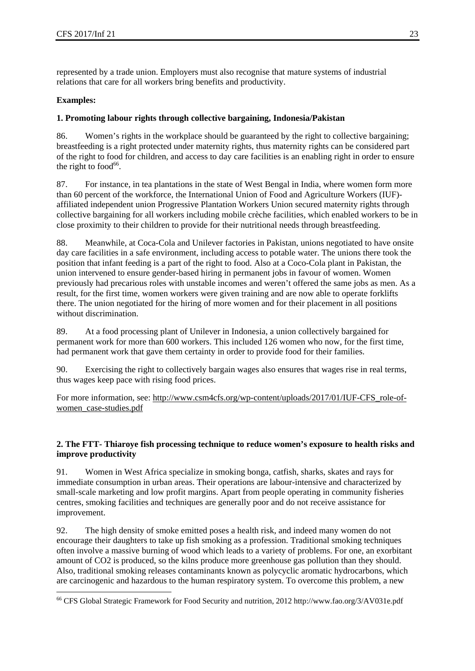represented by a trade union. Employers must also recognise that mature systems of industrial relations that care for all workers bring benefits and productivity.

#### **Examples:**

1

#### **1. Promoting labour rights through collective bargaining, Indonesia/Pakistan**

86. Women's rights in the workplace should be guaranteed by the right to collective bargaining; breastfeeding is a right protected under maternity rights, thus maternity rights can be considered part of the right to food for children, and access to day care facilities is an enabling right in order to ensure the right to food $66$ .

87. For instance, in tea plantations in the state of West Bengal in India, where women form more than 60 percent of the workforce, the International Union of Food and Agriculture Workers (IUF) affiliated independent union Progressive Plantation Workers Union secured maternity rights through collective bargaining for all workers including mobile crèche facilities, which enabled workers to be in close proximity to their children to provide for their nutritional needs through breastfeeding.

88. Meanwhile, at Coca-Cola and Unilever factories in Pakistan, unions negotiated to have onsite day care facilities in a safe environment, including access to potable water. The unions there took the position that infant feeding is a part of the right to food. Also at a Coco-Cola plant in Pakistan, the union intervened to ensure gender-based hiring in permanent jobs in favour of women. Women previously had precarious roles with unstable incomes and weren't offered the same jobs as men. As a result, for the first time, women workers were given training and are now able to operate forklifts there. The union negotiated for the hiring of more women and for their placement in all positions without discrimination.

89. At a food processing plant of Unilever in Indonesia, a union collectively bargained for permanent work for more than 600 workers. This included 126 women who now, for the first time, had permanent work that gave them certainty in order to provide food for their families.

90. Exercising the right to collectively bargain wages also ensures that wages rise in real terms, thus wages keep pace with rising food prices.

For more information, see: http://www.csm4cfs.org/wp-content/uploads/2017/01/IUF-CFS\_role-ofwomen\_case-studies.pdf

#### **2. The FTT- Thiaroye fish processing technique to reduce women's exposure to health risks and improve productivity**

91. Women in West Africa specialize in smoking bonga, catfish, sharks, skates and rays for immediate consumption in urban areas. Their operations are labour-intensive and characterized by small-scale marketing and low profit margins. Apart from people operating in community fisheries centres, smoking facilities and techniques are generally poor and do not receive assistance for improvement.

92. The high density of smoke emitted poses a health risk, and indeed many women do not encourage their daughters to take up fish smoking as a profession. Traditional smoking techniques often involve a massive burning of wood which leads to a variety of problems. For one, an exorbitant amount of CO2 is produced, so the kilns produce more greenhouse gas pollution than they should. Also, traditional smoking releases contaminants known as polycyclic aromatic hydrocarbons, which are carcinogenic and hazardous to the human respiratory system. To overcome this problem, a new

<sup>66</sup> CFS Global Strategic Framework for Food Security and nutrition, 2012 http://www.fao.org/3/AV031e.pdf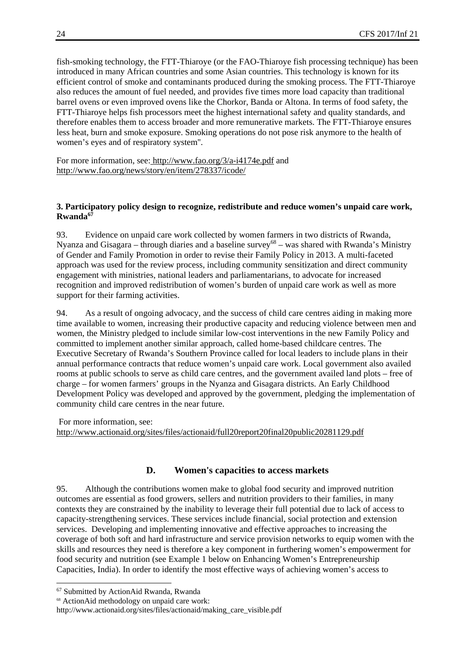fish-smoking technology, the FTT-Thiaroye (or the FAO-Thiaroye fish processing technique) has been introduced in many African countries and some Asian countries. This technology is known for its efficient control of smoke and contaminants produced during the smoking process. The FTT-Thiaroye also reduces the amount of fuel needed, and provides five times more load capacity than traditional barrel ovens or even improved ovens like the Chorkor, Banda or Altona. In terms of food safety, the FTT-Thiaroye helps fish processors meet the highest international safety and quality standards, and therefore enables them to access broader and more remunerative markets. The FTT-Thiaroye ensures less heat, burn and smoke exposure. Smoking operations do not pose risk anymore to the health of women's eyes and of respiratory system''.

For more information, see: http://www.fao.org/3/a-i4174e.pdf and http://www.fao.org/news/story/en/item/278337/icode/

#### **3. Participatory policy design to recognize, redistribute and reduce women's unpaid care work, Rwanda67**

93. Evidence on unpaid care work collected by women farmers in two districts of Rwanda, Nyanza and Gisagara – through diaries and a baseline survey<sup>68</sup> – was shared with Rwanda's Ministry of Gender and Family Promotion in order to revise their Family Policy in 2013. A multi-faceted approach was used for the review process, including community sensitization and direct community engagement with ministries, national leaders and parliamentarians, to advocate for increased recognition and improved redistribution of women's burden of unpaid care work as well as more support for their farming activities.

94. As a result of ongoing advocacy, and the success of child care centres aiding in making more time available to women, increasing their productive capacity and reducing violence between men and women, the Ministry pledged to include similar low-cost interventions in the new Family Policy and committed to implement another similar approach, called home-based childcare centres. The Executive Secretary of Rwanda's Southern Province called for local leaders to include plans in their annual performance contracts that reduce women's unpaid care work. Local government also availed rooms at public schools to serve as child care centres, and the government availed land plots – free of charge – for women farmers' groups in the Nyanza and Gisagara districts. An Early Childhood Development Policy was developed and approved by the government, pledging the implementation of community child care centres in the near future.

 For more information, see: http://www.actionaid.org/sites/files/actionaid/full20report20final20public20281129.pdf

#### **D. Women's capacities to access markets**

95. Although the contributions women make to global food security and improved nutrition outcomes are essential as food growers, sellers and nutrition providers to their families, in many contexts they are constrained by the inability to leverage their full potential due to lack of access to capacity-strengthening services. These services include financial, social protection and extension services. Developing and implementing innovative and effective approaches to increasing the coverage of both soft and hard infrastructure and service provision networks to equip women with the skills and resources they need is therefore a key component in furthering women's empowerment for food security and nutrition (see Example 1 below on Enhancing Women's Entrepreneurship Capacities, India). In order to identify the most effective ways of achieving women's access to

<sup>67</sup> Submitted by ActionAid Rwanda, Rwanda

<sup>68</sup> ActionAid methodology on unpaid care work:

http://www.actionaid.org/sites/files/actionaid/making\_care\_visible.pdf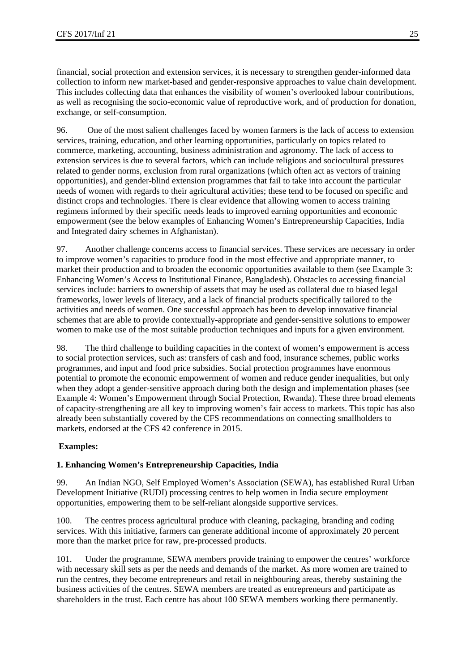financial, social protection and extension services, it is necessary to strengthen gender-informed data collection to inform new market-based and gender-responsive approaches to value chain development. This includes collecting data that enhances the visibility of women's overlooked labour contributions, as well as recognising the socio-economic value of reproductive work, and of production for donation, exchange, or self-consumption.

96. One of the most salient challenges faced by women farmers is the lack of access to extension services, training, education, and other learning opportunities, particularly on topics related to commerce, marketing, accounting, business administration and agronomy. The lack of access to extension services is due to several factors, which can include religious and sociocultural pressures related to gender norms, exclusion from rural organizations (which often act as vectors of training opportunities), and gender-blind extension programmes that fail to take into account the particular needs of women with regards to their agricultural activities; these tend to be focused on specific and distinct crops and technologies. There is clear evidence that allowing women to access training regimens informed by their specific needs leads to improved earning opportunities and economic empowerment (see the below examples of Enhancing Women's Entrepreneurship Capacities, India and Integrated dairy schemes in Afghanistan).

97. Another challenge concerns access to financial services. These services are necessary in order to improve women's capacities to produce food in the most effective and appropriate manner, to market their production and to broaden the economic opportunities available to them (see Example 3: Enhancing Women's Access to Institutional Finance, Bangladesh). Obstacles to accessing financial services include: barriers to ownership of assets that may be used as collateral due to biased legal frameworks, lower levels of literacy, and a lack of financial products specifically tailored to the activities and needs of women. One successful approach has been to develop innovative financial schemes that are able to provide contextually-appropriate and gender-sensitive solutions to empower women to make use of the most suitable production techniques and inputs for a given environment.

98. The third challenge to building capacities in the context of women's empowerment is access to social protection services, such as: transfers of cash and food, insurance schemes, public works programmes, and input and food price subsidies. Social protection programmes have enormous potential to promote the economic empowerment of women and reduce gender inequalities, but only when they adopt a gender-sensitive approach during both the design and implementation phases (see Example 4: Women's Empowerment through Social Protection, Rwanda). These three broad elements of capacity-strengthening are all key to improving women's fair access to markets. This topic has also already been substantially covered by the CFS recommendations on connecting smallholders to markets, endorsed at the CFS 42 conference in 2015.

#### **Examples:**

#### **1. Enhancing Women's Entrepreneurship Capacities, India**

99. An Indian NGO, Self Employed Women's Association (SEWA), has established Rural Urban Development Initiative (RUDI) processing centres to help women in India secure employment opportunities, empowering them to be self-reliant alongside supportive services.

100. The centres process agricultural produce with cleaning, packaging, branding and coding services. With this initiative, farmers can generate additional income of approximately 20 percent more than the market price for raw, pre-processed products.

101. Under the programme, SEWA members provide training to empower the centres' workforce with necessary skill sets as per the needs and demands of the market. As more women are trained to run the centres, they become entrepreneurs and retail in neighbouring areas, thereby sustaining the business activities of the centres. SEWA members are treated as entrepreneurs and participate as shareholders in the trust. Each centre has about 100 SEWA members working there permanently.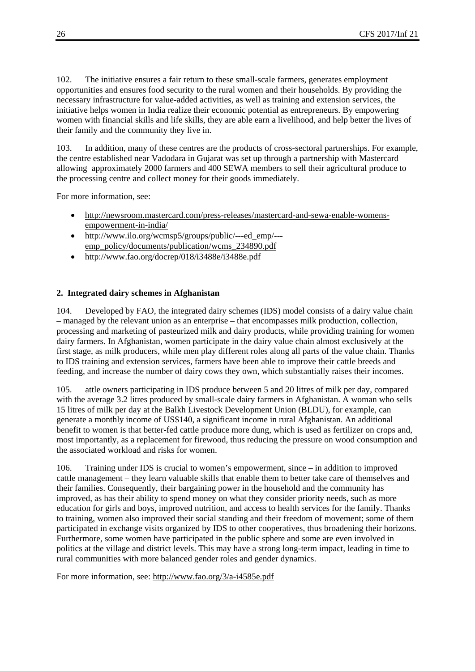102. The initiative ensures a fair return to these small-scale farmers, generates employment opportunities and ensures food security to the rural women and their households. By providing the necessary infrastructure for value-added activities, as well as training and extension services, the initiative helps women in India realize their economic potential as entrepreneurs. By empowering women with financial skills and life skills, they are able earn a livelihood, and help better the lives of their family and the community they live in.

103. In addition, many of these centres are the products of cross-sectoral partnerships. For example, the centre established near Vadodara in Gujarat was set up through a partnership with Mastercard allowing approximately 2000 farmers and 400 SEWA members to sell their agricultural produce to the processing centre and collect money for their goods immediately.

For more information, see:

- http://newsroom.mastercard.com/press-releases/mastercard-and-sewa-enable-womensempowerment-in-india/
- http://www.ilo.org/wcmsp5/groups/public/---ed\_emp/--emp\_policy/documents/publication/wcms\_234890.pdf
- http://www.fao.org/docrep/018/i3488e/i3488e.pdf

#### **2. Integrated dairy schemes in Afghanistan**

104. Developed by FAO, the integrated dairy schemes (IDS) model consists of a dairy value chain – managed by the relevant union as an enterprise – that encompasses milk production, collection, processing and marketing of pasteurized milk and dairy products, while providing training for women dairy farmers. In Afghanistan, women participate in the dairy value chain almost exclusively at the first stage, as milk producers, while men play different roles along all parts of the value chain. Thanks to IDS training and extension services, farmers have been able to improve their cattle breeds and feeding, and increase the number of dairy cows they own, which substantially raises their incomes.

105. attle owners participating in IDS produce between 5 and 20 litres of milk per day, compared with the average 3.2 litres produced by small-scale dairy farmers in Afghanistan. A woman who sells 15 litres of milk per day at the Balkh Livestock Development Union (BLDU), for example, can generate a monthly income of US\$140, a significant income in rural Afghanistan. An additional benefit to women is that better-fed cattle produce more dung, which is used as fertilizer on crops and, most importantly, as a replacement for firewood, thus reducing the pressure on wood consumption and the associated workload and risks for women.

106. Training under IDS is crucial to women's empowerment, since – in addition to improved cattle management – they learn valuable skills that enable them to better take care of themselves and their families. Consequently, their bargaining power in the household and the community has improved, as has their ability to spend money on what they consider priority needs, such as more education for girls and boys, improved nutrition, and access to health services for the family. Thanks to training, women also improved their social standing and their freedom of movement; some of them participated in exchange visits organized by IDS to other cooperatives, thus broadening their horizons. Furthermore, some women have participated in the public sphere and some are even involved in politics at the village and district levels. This may have a strong long-term impact, leading in time to rural communities with more balanced gender roles and gender dynamics.

For more information, see: http://www.fao.org/3/a-i4585e.pdf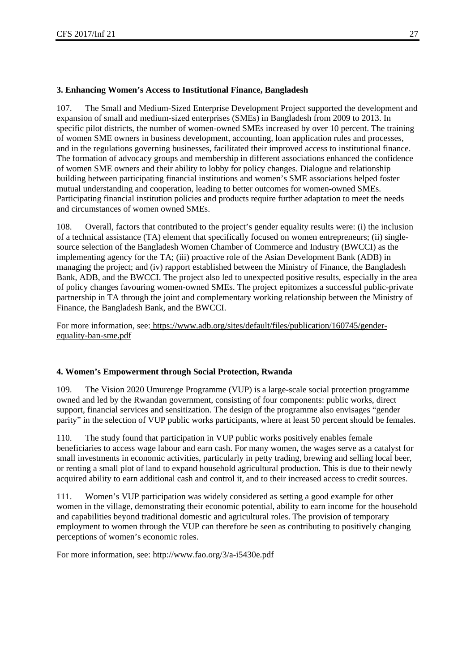#### **3. Enhancing Women's Access to Institutional Finance, Bangladesh**

107. The Small and Medium-Sized Enterprise Development Project supported the development and expansion of small and medium-sized enterprises (SMEs) in Bangladesh from 2009 to 2013. In specific pilot districts, the number of women-owned SMEs increased by over 10 percent. The training of women SME owners in business development, accounting, loan application rules and processes, and in the regulations governing businesses, facilitated their improved access to institutional finance. The formation of advocacy groups and membership in different associations enhanced the confidence of women SME owners and their ability to lobby for policy changes. Dialogue and relationship building between participating financial institutions and women's SME associations helped foster mutual understanding and cooperation, leading to better outcomes for women-owned SMEs. Participating financial institution policies and products require further adaptation to meet the needs and circumstances of women owned SMEs.

108. Overall, factors that contributed to the project's gender equality results were: (i) the inclusion of a technical assistance (TA) element that specifically focused on women entrepreneurs; (ii) singlesource selection of the Bangladesh Women Chamber of Commerce and Industry (BWCCI) as the implementing agency for the TA; (iii) proactive role of the Asian Development Bank (ADB) in managing the project; and (iv) rapport established between the Ministry of Finance, the Bangladesh Bank, ADB, and the BWCCI. The project also led to unexpected positive results, especially in the area of policy changes favouring women-owned SMEs. The project epitomizes a successful public-private partnership in TA through the joint and complementary working relationship between the Ministry of Finance, the Bangladesh Bank, and the BWCCI.

For more information, see: https://www.adb.org/sites/default/files/publication/160745/genderequality-ban-sme.pdf

#### **4. Women's Empowerment through Social Protection, Rwanda**

109. The Vision 2020 Umurenge Programme (VUP) is a large-scale social protection programme owned and led by the Rwandan government, consisting of four components: public works, direct support, financial services and sensitization. The design of the programme also envisages "gender parity" in the selection of VUP public works participants, where at least 50 percent should be females.

110. The study found that participation in VUP public works positively enables female beneficiaries to access wage labour and earn cash. For many women, the wages serve as a catalyst for small investments in economic activities, particularly in petty trading, brewing and selling local beer, or renting a small plot of land to expand household agricultural production. This is due to their newly acquired ability to earn additional cash and control it, and to their increased access to credit sources.

111. Women's VUP participation was widely considered as setting a good example for other women in the village, demonstrating their economic potential, ability to earn income for the household and capabilities beyond traditional domestic and agricultural roles. The provision of temporary employment to women through the VUP can therefore be seen as contributing to positively changing perceptions of women's economic roles.

For more information, see: http://www.fao.org/3/a-i5430e.pdf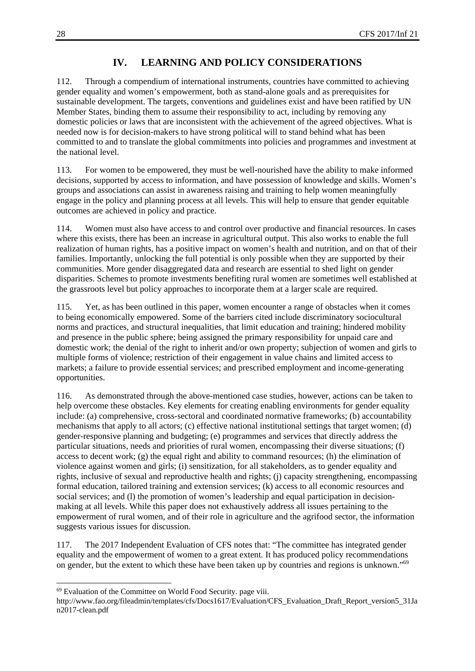## **IV. LEARNING AND POLICY CONSIDERATIONS**

112. Through a compendium of international instruments, countries have committed to achieving gender equality and women's empowerment, both as stand-alone goals and as prerequisites for sustainable development. The targets, conventions and guidelines exist and have been ratified by UN Member States, binding them to assume their responsibility to act, including by removing any domestic policies or laws that are inconsistent with the achievement of the agreed objectives. What is needed now is for decision-makers to have strong political will to stand behind what has been committed to and to translate the global commitments into policies and programmes and investment at the national level.

113. For women to be empowered, they must be well-nourished have the ability to make informed decisions, supported by access to information, and have possession of knowledge and skills. Women's groups and associations can assist in awareness raising and training to help women meaningfully engage in the policy and planning process at all levels. This will help to ensure that gender equitable outcomes are achieved in policy and practice.

114. Women must also have access to and control over productive and financial resources. In cases where this exists, there has been an increase in agricultural output. This also works to enable the full realization of human rights, has a positive impact on women's health and nutrition, and on that of their families. Importantly, unlocking the full potential is only possible when they are supported by their communities. More gender disaggregated data and research are essential to shed light on gender disparities. Schemes to promote investments benefiting rural women are sometimes well established at the grassroots level but policy approaches to incorporate them at a larger scale are required.

115. Yet, as has been outlined in this paper, women encounter a range of obstacles when it comes to being economically empowered. Some of the barriers cited include discriminatory sociocultural norms and practices, and structural inequalities, that limit education and training; hindered mobility and presence in the public sphere; being assigned the primary responsibility for unpaid care and domestic work; the denial of the right to inherit and/or own property; subjection of women and girls to multiple forms of violence; restriction of their engagement in value chains and limited access to markets; a failure to provide essential services; and prescribed employment and income-generating opportunities.

116. As demonstrated through the above-mentioned case studies, however, actions can be taken to help overcome these obstacles. Key elements for creating enabling environments for gender equality include: (a) comprehensive, cross-sectoral and coordinated normative frameworks; (b) accountability mechanisms that apply to all actors; (c) effective national institutional settings that target women; (d) gender-responsive planning and budgeting; (e) programmes and services that directly address the particular situations, needs and priorities of rural women, encompassing their diverse situations; (f) access to decent work;  $(g)$  the equal right and ability to command resources; (h) the elimination of violence against women and girls; (i) sensitization, for all stakeholders, as to gender equality and rights, inclusive of sexual and reproductive health and rights; (j) capacity strengthening, encompassing formal education, tailored training and extension services; (k) access to all economic resources and social services; and (1) the promotion of women's leadership and equal participation in decisionmaking at all levels. While this paper does not exhaustively address all issues pertaining to the empowerment of rural women, and of their role in agriculture and the agrifood sector, the information suggests various issues for discussion.

117. The 2017 Independent Evaluation of CFS notes that: "The committee has integrated gender equality and the empowerment of women to a great extent. It has produced policy recommendations on gender, but the extent to which these have been taken up by countries and regions is unknown."69

<sup>69</sup> Evaluation of the Committee on World Food Security. page viii.

http://www.fao.org/fileadmin/templates/cfs/Docs1617/Evaluation/CFS\_Evaluation\_Draft\_Report\_version5\_31Ja n2017-clean.pdf